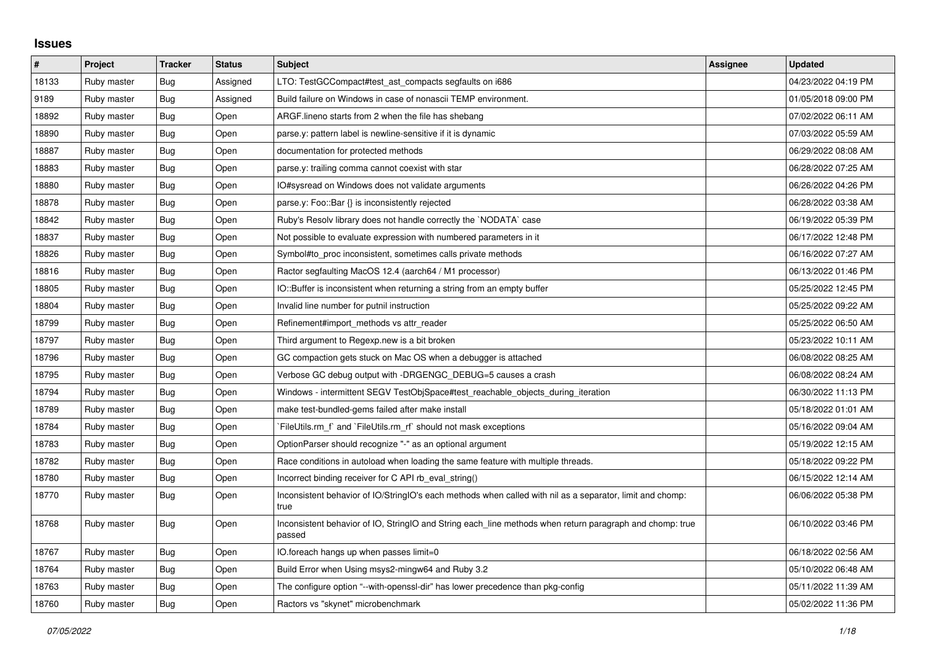## **Issues**

| $\vert$ # | Project     | <b>Tracker</b> | <b>Status</b> | <b>Subject</b>                                                                                                     | Assignee | <b>Updated</b>      |
|-----------|-------------|----------------|---------------|--------------------------------------------------------------------------------------------------------------------|----------|---------------------|
| 18133     | Ruby master | Bug            | Assigned      | LTO: TestGCCompact#test_ast_compacts segfaults on i686                                                             |          | 04/23/2022 04:19 PM |
| 9189      | Ruby master | Bug            | Assigned      | Build failure on Windows in case of nonascii TEMP environment.                                                     |          | 01/05/2018 09:00 PM |
| 18892     | Ruby master | Bug            | Open          | ARGF lineno starts from 2 when the file has shebang                                                                |          | 07/02/2022 06:11 AM |
| 18890     | Ruby master | Bug            | Open          | parse.y: pattern label is newline-sensitive if it is dynamic                                                       |          | 07/03/2022 05:59 AM |
| 18887     | Ruby master | Bug            | Open          | documentation for protected methods                                                                                |          | 06/29/2022 08:08 AM |
| 18883     | Ruby master | Bug            | Open          | parse.y: trailing comma cannot coexist with star                                                                   |          | 06/28/2022 07:25 AM |
| 18880     | Ruby master | Bug            | Open          | IO#sysread on Windows does not validate arguments                                                                  |          | 06/26/2022 04:26 PM |
| 18878     | Ruby master | Bug            | Open          | parse.y: Foo::Bar {} is inconsistently rejected                                                                    |          | 06/28/2022 03:38 AM |
| 18842     | Ruby master | Bug            | Open          | Ruby's Resolv library does not handle correctly the `NODATA` case                                                  |          | 06/19/2022 05:39 PM |
| 18837     | Ruby master | Bug            | Open          | Not possible to evaluate expression with numbered parameters in it                                                 |          | 06/17/2022 12:48 PM |
| 18826     | Ruby master | Bug            | Open          | Symbol#to_proc inconsistent, sometimes calls private methods                                                       |          | 06/16/2022 07:27 AM |
| 18816     | Ruby master | Bug            | Open          | Ractor segfaulting MacOS 12.4 (aarch64 / M1 processor)                                                             |          | 06/13/2022 01:46 PM |
| 18805     | Ruby master | Bug            | Open          | IO::Buffer is inconsistent when returning a string from an empty buffer                                            |          | 05/25/2022 12:45 PM |
| 18804     | Ruby master | Bug            | Open          | Invalid line number for putnil instruction                                                                         |          | 05/25/2022 09:22 AM |
| 18799     | Ruby master | Bug            | Open          | Refinement#import_methods vs attr_reader                                                                           |          | 05/25/2022 06:50 AM |
| 18797     | Ruby master | Bug            | Open          | Third argument to Regexp.new is a bit broken                                                                       |          | 05/23/2022 10:11 AM |
| 18796     | Ruby master | Bug            | Open          | GC compaction gets stuck on Mac OS when a debugger is attached                                                     |          | 06/08/2022 08:25 AM |
| 18795     | Ruby master | Bug            | Open          | Verbose GC debug output with -DRGENGC DEBUG=5 causes a crash                                                       |          | 06/08/2022 08:24 AM |
| 18794     | Ruby master | Bug            | Open          | Windows - intermittent SEGV TestObjSpace#test_reachable_objects_during_iteration                                   |          | 06/30/2022 11:13 PM |
| 18789     | Ruby master | Bug            | Open          | make test-bundled-gems failed after make install                                                                   |          | 05/18/2022 01:01 AM |
| 18784     | Ruby master | Bug            | Open          | FileUtils.rm_f` and `FileUtils.rm_rf` should not mask exceptions                                                   |          | 05/16/2022 09:04 AM |
| 18783     | Ruby master | Bug            | Open          | OptionParser should recognize "-" as an optional argument                                                          |          | 05/19/2022 12:15 AM |
| 18782     | Ruby master | Bug            | Open          | Race conditions in autoload when loading the same feature with multiple threads.                                   |          | 05/18/2022 09:22 PM |
| 18780     | Ruby master | Bug            | Open          | Incorrect binding receiver for C API rb eval string()                                                              |          | 06/15/2022 12:14 AM |
| 18770     | Ruby master | Bug            | Open          | Inconsistent behavior of IO/StringIO's each methods when called with nil as a separator, limit and chomp:<br>true  |          | 06/06/2022 05:38 PM |
| 18768     | Ruby master | Bug            | Open          | Inconsistent behavior of IO, StringIO and String each_line methods when return paragraph and chomp: true<br>passed |          | 06/10/2022 03:46 PM |
| 18767     | Ruby master | Bug            | Open          | IO.foreach hangs up when passes limit=0                                                                            |          | 06/18/2022 02:56 AM |
| 18764     | Ruby master | Bug            | Open          | Build Error when Using msys2-mingw64 and Ruby 3.2                                                                  |          | 05/10/2022 06:48 AM |
| 18763     | Ruby master | <b>Bug</b>     | Open          | The configure option "--with-openssl-dir" has lower precedence than pkg-config                                     |          | 05/11/2022 11:39 AM |
| 18760     | Ruby master | Bug            | Open          | Ractors vs "skynet" microbenchmark                                                                                 |          | 05/02/2022 11:36 PM |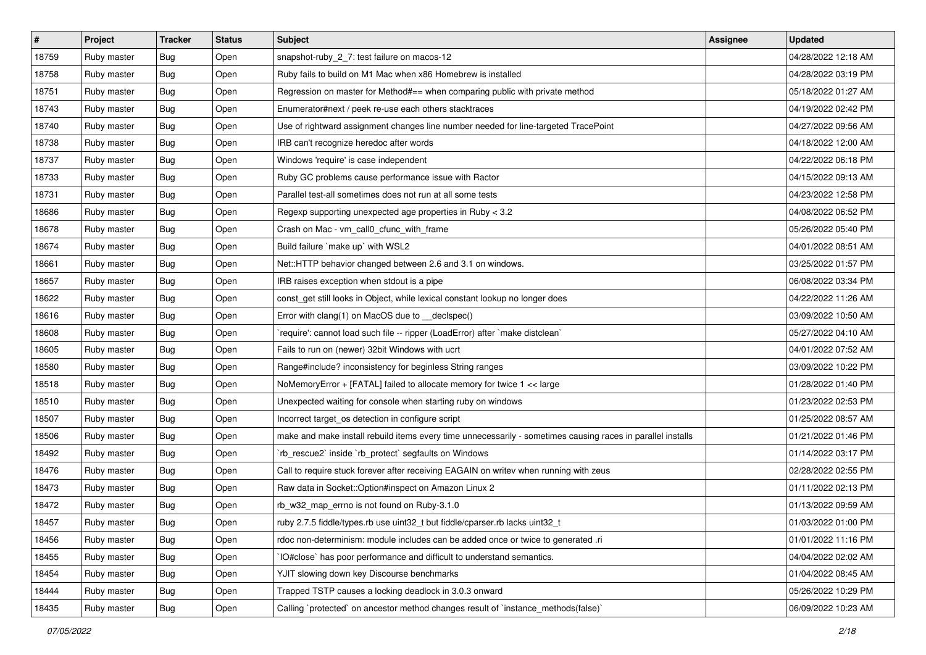| $\pmb{\#}$ | Project     | <b>Tracker</b> | <b>Status</b> | <b>Subject</b>                                                                                              | <b>Assignee</b> | <b>Updated</b>      |
|------------|-------------|----------------|---------------|-------------------------------------------------------------------------------------------------------------|-----------------|---------------------|
| 18759      | Ruby master | <b>Bug</b>     | Open          | snapshot-ruby_2_7: test failure on macos-12                                                                 |                 | 04/28/2022 12:18 AM |
| 18758      | Ruby master | <b>Bug</b>     | Open          | Ruby fails to build on M1 Mac when x86 Homebrew is installed                                                |                 | 04/28/2022 03:19 PM |
| 18751      | Ruby master | <b>Bug</b>     | Open          | Regression on master for Method#== when comparing public with private method                                |                 | 05/18/2022 01:27 AM |
| 18743      | Ruby master | <b>Bug</b>     | Open          | Enumerator#next / peek re-use each others stacktraces                                                       |                 | 04/19/2022 02:42 PM |
| 18740      | Ruby master | Bug            | Open          | Use of rightward assignment changes line number needed for line-targeted TracePoint                         |                 | 04/27/2022 09:56 AM |
| 18738      | Ruby master | <b>Bug</b>     | Open          | IRB can't recognize heredoc after words                                                                     |                 | 04/18/2022 12:00 AM |
| 18737      | Ruby master | <b>Bug</b>     | Open          | Windows 'require' is case independent                                                                       |                 | 04/22/2022 06:18 PM |
| 18733      | Ruby master | <b>Bug</b>     | Open          | Ruby GC problems cause performance issue with Ractor                                                        |                 | 04/15/2022 09:13 AM |
| 18731      | Ruby master | <b>Bug</b>     | Open          | Parallel test-all sometimes does not run at all some tests                                                  |                 | 04/23/2022 12:58 PM |
| 18686      | Ruby master | Bug            | Open          | Regexp supporting unexpected age properties in Ruby < 3.2                                                   |                 | 04/08/2022 06:52 PM |
| 18678      | Ruby master | <b>Bug</b>     | Open          | Crash on Mac - vm_call0_cfunc_with_frame                                                                    |                 | 05/26/2022 05:40 PM |
| 18674      | Ruby master | Bug            | Open          | Build failure `make up` with WSL2                                                                           |                 | 04/01/2022 08:51 AM |
| 18661      | Ruby master | <b>Bug</b>     | Open          | Net::HTTP behavior changed between 2.6 and 3.1 on windows.                                                  |                 | 03/25/2022 01:57 PM |
| 18657      | Ruby master | Bug            | Open          | IRB raises exception when stdout is a pipe                                                                  |                 | 06/08/2022 03:34 PM |
| 18622      | Ruby master | Bug            | Open          | const_get still looks in Object, while lexical constant lookup no longer does                               |                 | 04/22/2022 11:26 AM |
| 18616      | Ruby master | <b>Bug</b>     | Open          | Error with clang(1) on MacOS due to _declspec()                                                             |                 | 03/09/2022 10:50 AM |
| 18608      | Ruby master | <b>Bug</b>     | Open          | require': cannot load such file -- ripper (LoadError) after `make distclean`                                |                 | 05/27/2022 04:10 AM |
| 18605      | Ruby master | <b>Bug</b>     | Open          | Fails to run on (newer) 32bit Windows with ucrt                                                             |                 | 04/01/2022 07:52 AM |
| 18580      | Ruby master | <b>Bug</b>     | Open          | Range#include? inconsistency for beginless String ranges                                                    |                 | 03/09/2022 10:22 PM |
| 18518      | Ruby master | <b>Bug</b>     | Open          | NoMemoryError + [FATAL] failed to allocate memory for twice 1 << large                                      |                 | 01/28/2022 01:40 PM |
| 18510      | Ruby master | <b>Bug</b>     | Open          | Unexpected waiting for console when starting ruby on windows                                                |                 | 01/23/2022 02:53 PM |
| 18507      | Ruby master | <b>Bug</b>     | Open          | Incorrect target_os detection in configure script                                                           |                 | 01/25/2022 08:57 AM |
| 18506      | Ruby master | Bug            | Open          | make and make install rebuild items every time unnecessarily - sometimes causing races in parallel installs |                 | 01/21/2022 01:46 PM |
| 18492      | Ruby master | <b>Bug</b>     | Open          | rb_rescue2` inside `rb_protect` segfaults on Windows                                                        |                 | 01/14/2022 03:17 PM |
| 18476      | Ruby master | <b>Bug</b>     | Open          | Call to require stuck forever after receiving EAGAIN on writev when running with zeus                       |                 | 02/28/2022 02:55 PM |
| 18473      | Ruby master | <b>Bug</b>     | Open          | Raw data in Socket::Option#inspect on Amazon Linux 2                                                        |                 | 01/11/2022 02:13 PM |
| 18472      | Ruby master | <b>Bug</b>     | Open          | rb_w32_map_errno is not found on Ruby-3.1.0                                                                 |                 | 01/13/2022 09:59 AM |
| 18457      | Ruby master | Bug            | Open          | ruby 2.7.5 fiddle/types.rb use uint32_t but fiddle/cparser.rb lacks uint32_t                                |                 | 01/03/2022 01:00 PM |
| 18456      | Ruby master | <b>Bug</b>     | Open          | rdoc non-determinism: module includes can be added once or twice to generated .ri                           |                 | 01/01/2022 11:16 PM |
| 18455      | Ruby master | Bug            | Open          | IO#close` has poor performance and difficult to understand semantics.                                       |                 | 04/04/2022 02:02 AM |
| 18454      | Ruby master | <b>Bug</b>     | Open          | YJIT slowing down key Discourse benchmarks                                                                  |                 | 01/04/2022 08:45 AM |
| 18444      | Ruby master | <b>Bug</b>     | Open          | Trapped TSTP causes a locking deadlock in 3.0.3 onward                                                      |                 | 05/26/2022 10:29 PM |
| 18435      | Ruby master | <b>Bug</b>     | Open          | Calling `protected` on ancestor method changes result of `instance_methods(false)`                          |                 | 06/09/2022 10:23 AM |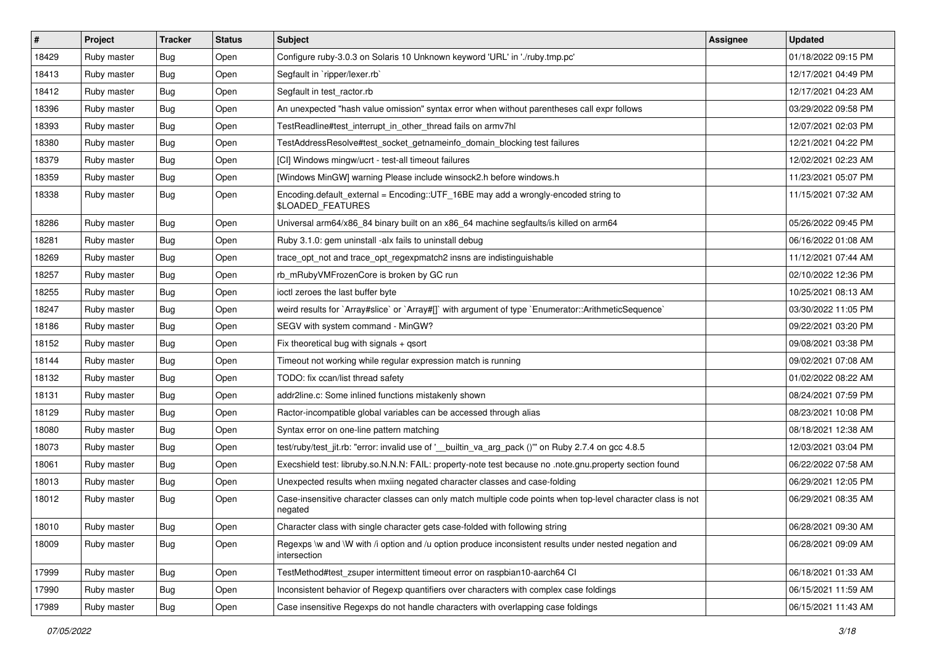| #     | Project     | <b>Tracker</b> | <b>Status</b> | <b>Subject</b>                                                                                                          | <b>Assignee</b> | <b>Updated</b>      |
|-------|-------------|----------------|---------------|-------------------------------------------------------------------------------------------------------------------------|-----------------|---------------------|
| 18429 | Ruby master | Bug            | Open          | Configure ruby-3.0.3 on Solaris 10 Unknown keyword 'URL' in './ruby.tmp.pc'                                             |                 | 01/18/2022 09:15 PM |
| 18413 | Ruby master | <b>Bug</b>     | Open          | Segfault in `ripper/lexer.rb`                                                                                           |                 | 12/17/2021 04:49 PM |
| 18412 | Ruby master | <b>Bug</b>     | Open          | Segfault in test ractor.rb                                                                                              |                 | 12/17/2021 04:23 AM |
| 18396 | Ruby master | Bug            | Open          | An unexpected "hash value omission" syntax error when without parentheses call expr follows                             |                 | 03/29/2022 09:58 PM |
| 18393 | Ruby master | Bug            | Open          | TestReadline#test_interrupt_in_other_thread fails on armv7hl                                                            |                 | 12/07/2021 02:03 PM |
| 18380 | Ruby master | <b>Bug</b>     | Open          | TestAddressResolve#test_socket_getnameinfo_domain_blocking test failures                                                |                 | 12/21/2021 04:22 PM |
| 18379 | Ruby master | <b>Bug</b>     | Open          | [CI] Windows mingw/ucrt - test-all timeout failures                                                                     |                 | 12/02/2021 02:23 AM |
| 18359 | Ruby master | <b>Bug</b>     | Open          | [Windows MinGW] warning Please include winsock2.h before windows.h                                                      |                 | 11/23/2021 05:07 PM |
| 18338 | Ruby master | Bug            | Open          | Encoding.default_external = Encoding::UTF_16BE may add a wrongly-encoded string to<br>\$LOADED_FEATURES                 |                 | 11/15/2021 07:32 AM |
| 18286 | Ruby master | Bug            | Open          | Universal arm64/x86_84 binary built on an x86_64 machine segfaults/is killed on arm64                                   |                 | 05/26/2022 09:45 PM |
| 18281 | Ruby master | <b>Bug</b>     | Open          | Ruby 3.1.0: gem uninstall -alx fails to uninstall debug                                                                 |                 | 06/16/2022 01:08 AM |
| 18269 | Ruby master | <b>Bug</b>     | Open          | trace_opt_not and trace_opt_regexpmatch2 insns are indistinguishable                                                    |                 | 11/12/2021 07:44 AM |
| 18257 | Ruby master | <b>Bug</b>     | Open          | rb_mRubyVMFrozenCore is broken by GC run                                                                                |                 | 02/10/2022 12:36 PM |
| 18255 | Ruby master | <b>Bug</b>     | Open          | ioctl zeroes the last buffer byte                                                                                       |                 | 10/25/2021 08:13 AM |
| 18247 | Ruby master | <b>Bug</b>     | Open          | weird results for `Array#slice` or `Array#[]` with argument of type `Enumerator::ArithmeticSequence`                    |                 | 03/30/2022 11:05 PM |
| 18186 | Ruby master | <b>Bug</b>     | Open          | SEGV with system command - MinGW?                                                                                       |                 | 09/22/2021 03:20 PM |
| 18152 | Ruby master | Bug            | Open          | Fix theoretical bug with signals + qsort                                                                                |                 | 09/08/2021 03:38 PM |
| 18144 | Ruby master | <b>Bug</b>     | Open          | Timeout not working while regular expression match is running                                                           |                 | 09/02/2021 07:08 AM |
| 18132 | Ruby master | <b>Bug</b>     | Open          | TODO: fix ccan/list thread safety                                                                                       |                 | 01/02/2022 08:22 AM |
| 18131 | Ruby master | <b>Bug</b>     | Open          | addr2line.c: Some inlined functions mistakenly shown                                                                    |                 | 08/24/2021 07:59 PM |
| 18129 | Ruby master | <b>Bug</b>     | Open          | Ractor-incompatible global variables can be accessed through alias                                                      |                 | 08/23/2021 10:08 PM |
| 18080 | Ruby master | <b>Bug</b>     | Open          | Syntax error on one-line pattern matching                                                                               |                 | 08/18/2021 12:38 AM |
| 18073 | Ruby master | <b>Bug</b>     | Open          | test/ruby/test_jit.rb: "error: invalid use of '_builtin_va_arg_pack ()" on Ruby 2.7.4 on gcc 4.8.5                      |                 | 12/03/2021 03:04 PM |
| 18061 | Ruby master | <b>Bug</b>     | Open          | Execshield test: libruby.so.N.N.N: FAIL: property-note test because no .note.gnu.property section found                 |                 | 06/22/2022 07:58 AM |
| 18013 | Ruby master | <b>Bug</b>     | Open          | Unexpected results when mxiing negated character classes and case-folding                                               |                 | 06/29/2021 12:05 PM |
| 18012 | Ruby master | Bug            | Open          | Case-insensitive character classes can only match multiple code points when top-level character class is not<br>negated |                 | 06/29/2021 08:35 AM |
| 18010 | Ruby master | <b>Bug</b>     | Open          | Character class with single character gets case-folded with following string                                            |                 | 06/28/2021 09:30 AM |
| 18009 | Ruby master | Bug            | Open          | Regexps \w and \W with /i option and /u option produce inconsistent results under nested negation and<br>intersection   |                 | 06/28/2021 09:09 AM |
| 17999 | Ruby master | <b>Bug</b>     | Open          | TestMethod#test_zsuper intermittent timeout error on raspbian10-aarch64 CI                                              |                 | 06/18/2021 01:33 AM |
| 17990 | Ruby master | <b>Bug</b>     | Open          | Inconsistent behavior of Regexp quantifiers over characters with complex case foldings                                  |                 | 06/15/2021 11:59 AM |
| 17989 | Ruby master | Bug            | Open          | Case insensitive Regexps do not handle characters with overlapping case foldings                                        |                 | 06/15/2021 11:43 AM |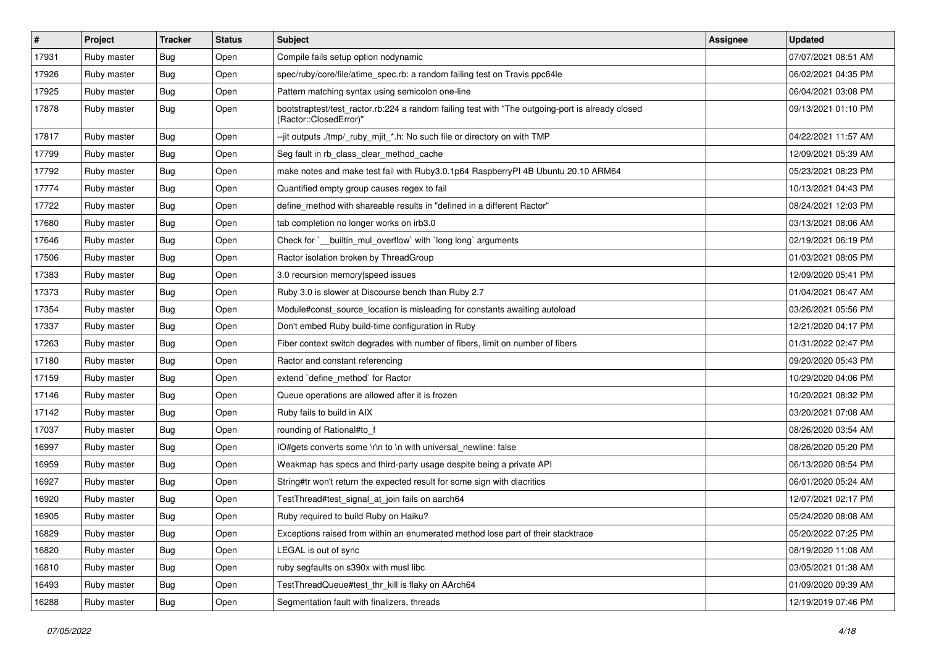| $\sharp$ | Project     | <b>Tracker</b> | <b>Status</b> | <b>Subject</b>                                                                                                             | <b>Assignee</b> | <b>Updated</b>      |
|----------|-------------|----------------|---------------|----------------------------------------------------------------------------------------------------------------------------|-----------------|---------------------|
| 17931    | Ruby master | Bug            | Open          | Compile fails setup option nodynamic                                                                                       |                 | 07/07/2021 08:51 AM |
| 17926    | Ruby master | Bug            | Open          | spec/ruby/core/file/atime_spec.rb: a random failing test on Travis ppc64le                                                 |                 | 06/02/2021 04:35 PM |
| 17925    | Ruby master | <b>Bug</b>     | Open          | Pattern matching syntax using semicolon one-line                                                                           |                 | 06/04/2021 03:08 PM |
| 17878    | Ruby master | Bug            | Open          | bootstraptest/test_ractor.rb:224 a random failing test with "The outgoing-port is already closed<br>(Ractor::ClosedError)" |                 | 09/13/2021 01:10 PM |
| 17817    | Ruby master | <b>Bug</b>     | Open          | --jit outputs ./tmp/_ruby_mjit_*.h: No such file or directory on with TMP                                                  |                 | 04/22/2021 11:57 AM |
| 17799    | Ruby master | <b>Bug</b>     | Open          | Seg fault in rb_class_clear_method_cache                                                                                   |                 | 12/09/2021 05:39 AM |
| 17792    | Ruby master | <b>Bug</b>     | Open          | make notes and make test fail with Ruby3.0.1p64 RaspberryPI 4B Ubuntu 20.10 ARM64                                          |                 | 05/23/2021 08:23 PM |
| 17774    | Ruby master | <b>Bug</b>     | Open          | Quantified empty group causes regex to fail                                                                                |                 | 10/13/2021 04:43 PM |
| 17722    | Ruby master | Bug            | Open          | define_method with shareable results in "defined in a different Ractor"                                                    |                 | 08/24/2021 12:03 PM |
| 17680    | Ruby master | <b>Bug</b>     | Open          | tab completion no longer works on irb3.0                                                                                   |                 | 03/13/2021 08:06 AM |
| 17646    | Ruby master | Bug            | Open          | Check for `__builtin_mul_overflow` with `long long` arguments                                                              |                 | 02/19/2021 06:19 PM |
| 17506    | Ruby master | <b>Bug</b>     | Open          | Ractor isolation broken by ThreadGroup                                                                                     |                 | 01/03/2021 08:05 PM |
| 17383    | Ruby master | <b>Bug</b>     | Open          | 3.0 recursion memory speed issues                                                                                          |                 | 12/09/2020 05:41 PM |
| 17373    | Ruby master | Bug            | Open          | Ruby 3.0 is slower at Discourse bench than Ruby 2.7                                                                        |                 | 01/04/2021 06:47 AM |
| 17354    | Ruby master | <b>Bug</b>     | Open          | Module#const_source_location is misleading for constants awaiting autoload                                                 |                 | 03/26/2021 05:56 PM |
| 17337    | Ruby master | <b>Bug</b>     | Open          | Don't embed Ruby build-time configuration in Ruby                                                                          |                 | 12/21/2020 04:17 PM |
| 17263    | Ruby master | Bug            | Open          | Fiber context switch degrades with number of fibers, limit on number of fibers                                             |                 | 01/31/2022 02:47 PM |
| 17180    | Ruby master | <b>Bug</b>     | Open          | Ractor and constant referencing                                                                                            |                 | 09/20/2020 05:43 PM |
| 17159    | Ruby master | <b>Bug</b>     | Open          | extend `define_method` for Ractor                                                                                          |                 | 10/29/2020 04:06 PM |
| 17146    | Ruby master | <b>Bug</b>     | Open          | Queue operations are allowed after it is frozen                                                                            |                 | 10/20/2021 08:32 PM |
| 17142    | Ruby master | <b>Bug</b>     | Open          | Ruby fails to build in AIX                                                                                                 |                 | 03/20/2021 07:08 AM |
| 17037    | Ruby master | <b>Bug</b>     | Open          | rounding of Rational#to_f                                                                                                  |                 | 08/26/2020 03:54 AM |
| 16997    | Ruby master | <b>Bug</b>     | Open          | IO#gets converts some \r\n to \n with universal_newline: false                                                             |                 | 08/26/2020 05:20 PM |
| 16959    | Ruby master | <b>Bug</b>     | Open          | Weakmap has specs and third-party usage despite being a private API                                                        |                 | 06/13/2020 08:54 PM |
| 16927    | Ruby master | <b>Bug</b>     | Open          | String#tr won't return the expected result for some sign with diacritics                                                   |                 | 06/01/2020 05:24 AM |
| 16920    | Ruby master | <b>Bug</b>     | Open          | TestThread#test_signal_at_join fails on aarch64                                                                            |                 | 12/07/2021 02:17 PM |
| 16905    | Ruby master | <b>Bug</b>     | Open          | Ruby required to build Ruby on Haiku?                                                                                      |                 | 05/24/2020 08:08 AM |
| 16829    | Ruby master | Bug            | Open          | Exceptions raised from within an enumerated method lose part of their stacktrace                                           |                 | 05/20/2022 07:25 PM |
| 16820    | Ruby master | <b>Bug</b>     | Open          | LEGAL is out of sync                                                                                                       |                 | 08/19/2020 11:08 AM |
| 16810    | Ruby master | Bug            | Open          | ruby segfaults on s390x with musl libc                                                                                     |                 | 03/05/2021 01:38 AM |
| 16493    | Ruby master | <b>Bug</b>     | Open          | TestThreadQueue#test_thr_kill is flaky on AArch64                                                                          |                 | 01/09/2020 09:39 AM |
| 16288    | Ruby master | Bug            | Open          | Segmentation fault with finalizers, threads                                                                                |                 | 12/19/2019 07:46 PM |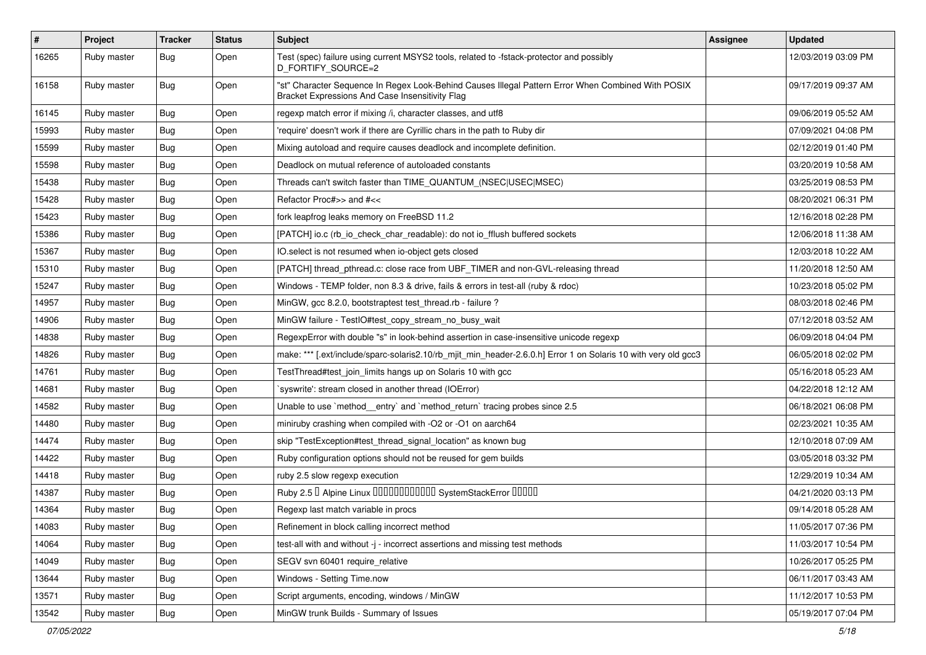| $\vert$ # | Project     | <b>Tracker</b> | <b>Status</b> | <b>Subject</b>                                                                                                                                        | <b>Assignee</b> | <b>Updated</b>      |
|-----------|-------------|----------------|---------------|-------------------------------------------------------------------------------------------------------------------------------------------------------|-----------------|---------------------|
| 16265     | Ruby master | Bug            | Open          | Test (spec) failure using current MSYS2 tools, related to -fstack-protector and possibly<br>D_FORTIFY_SOURCE=2                                        |                 | 12/03/2019 03:09 PM |
| 16158     | Ruby master | Bug            | Open          | "st" Character Sequence In Regex Look-Behind Causes Illegal Pattern Error When Combined With POSIX<br>Bracket Expressions And Case Insensitivity Flag |                 | 09/17/2019 09:37 AM |
| 16145     | Ruby master | Bug            | Open          | regexp match error if mixing /i, character classes, and utf8                                                                                          |                 | 09/06/2019 05:52 AM |
| 15993     | Ruby master | <b>Bug</b>     | Open          | 'require' doesn't work if there are Cyrillic chars in the path to Ruby dir                                                                            |                 | 07/09/2021 04:08 PM |
| 15599     | Ruby master | Bug            | Open          | Mixing autoload and require causes deadlock and incomplete definition.                                                                                |                 | 02/12/2019 01:40 PM |
| 15598     | Ruby master | Bug            | Open          | Deadlock on mutual reference of autoloaded constants                                                                                                  |                 | 03/20/2019 10:58 AM |
| 15438     | Ruby master | <b>Bug</b>     | Open          | Threads can't switch faster than TIME_QUANTUM_(NSEC USEC MSEC)                                                                                        |                 | 03/25/2019 08:53 PM |
| 15428     | Ruby master | Bug            | Open          | Refactor Proc#>> and #<<                                                                                                                              |                 | 08/20/2021 06:31 PM |
| 15423     | Ruby master | <b>Bug</b>     | Open          | fork leapfrog leaks memory on FreeBSD 11.2                                                                                                            |                 | 12/16/2018 02:28 PM |
| 15386     | Ruby master | Bug            | Open          | [PATCH] io.c (rb_io_check_char_readable): do not io_fflush buffered sockets                                                                           |                 | 12/06/2018 11:38 AM |
| 15367     | Ruby master | Bug            | Open          | IO.select is not resumed when io-object gets closed                                                                                                   |                 | 12/03/2018 10:22 AM |
| 15310     | Ruby master | <b>Bug</b>     | Open          | [PATCH] thread_pthread.c: close race from UBF_TIMER and non-GVL-releasing thread                                                                      |                 | 11/20/2018 12:50 AM |
| 15247     | Ruby master | <b>Bug</b>     | Open          | Windows - TEMP folder, non 8.3 & drive, fails & errors in test-all (ruby & rdoc)                                                                      |                 | 10/23/2018 05:02 PM |
| 14957     | Ruby master | <b>Bug</b>     | Open          | MinGW, gcc 8.2.0, bootstraptest test_thread.rb - failure ?                                                                                            |                 | 08/03/2018 02:46 PM |
| 14906     | Ruby master | <b>Bug</b>     | Open          | MinGW failure - TestlO#test_copy_stream_no_busy_wait                                                                                                  |                 | 07/12/2018 03:52 AM |
| 14838     | Ruby master | Bug            | Open          | RegexpError with double "s" in look-behind assertion in case-insensitive unicode regexp                                                               |                 | 06/09/2018 04:04 PM |
| 14826     | Ruby master | <b>Bug</b>     | Open          | make: *** [.ext/include/sparc-solaris2.10/rb_mjit_min_header-2.6.0.h] Error 1 on Solaris 10 with very old gcc3                                        |                 | 06/05/2018 02:02 PM |
| 14761     | Ruby master | <b>Bug</b>     | Open          | TestThread#test_join_limits hangs up on Solaris 10 with gcc                                                                                           |                 | 05/16/2018 05:23 AM |
| 14681     | Ruby master | Bug            | Open          | syswrite': stream closed in another thread (IOError)                                                                                                  |                 | 04/22/2018 12:12 AM |
| 14582     | Ruby master | <b>Bug</b>     | Open          | Unable to use `method_entry` and `method_return` tracing probes since 2.5                                                                             |                 | 06/18/2021 06:08 PM |
| 14480     | Ruby master | Bug            | Open          | miniruby crashing when compiled with -O2 or -O1 on aarch64                                                                                            |                 | 02/23/2021 10:35 AM |
| 14474     | Ruby master | <b>Bug</b>     | Open          | skip "TestException#test_thread_signal_location" as known bug                                                                                         |                 | 12/10/2018 07:09 AM |
| 14422     | Ruby master | Bug            | Open          | Ruby configuration options should not be reused for gem builds                                                                                        |                 | 03/05/2018 03:32 PM |
| 14418     | Ruby master | Bug            | Open          | ruby 2.5 slow regexp execution                                                                                                                        |                 | 12/29/2019 10:34 AM |
| 14387     | Ruby master | <b>Bug</b>     | Open          | Ruby 2.5 <sup>D</sup> Alpine Linux 000000000000 SystemStackError 00000                                                                                |                 | 04/21/2020 03:13 PM |
| 14364     | Ruby master | <b>Bug</b>     | Open          | Regexp last match variable in procs                                                                                                                   |                 | 09/14/2018 05:28 AM |
| 14083     | Ruby master | Bug            | Open          | Refinement in block calling incorrect method                                                                                                          |                 | 11/05/2017 07:36 PM |
| 14064     | Ruby master | <b>Bug</b>     | Open          | test-all with and without -j - incorrect assertions and missing test methods                                                                          |                 | 11/03/2017 10:54 PM |
| 14049     | Ruby master | <b>Bug</b>     | Open          | SEGV svn 60401 require_relative                                                                                                                       |                 | 10/26/2017 05:25 PM |
| 13644     | Ruby master | Bug            | Open          | Windows - Setting Time.now                                                                                                                            |                 | 06/11/2017 03:43 AM |
| 13571     | Ruby master | <b>Bug</b>     | Open          | Script arguments, encoding, windows / MinGW                                                                                                           |                 | 11/12/2017 10:53 PM |
| 13542     | Ruby master | <b>Bug</b>     | Open          | MinGW trunk Builds - Summary of Issues                                                                                                                |                 | 05/19/2017 07:04 PM |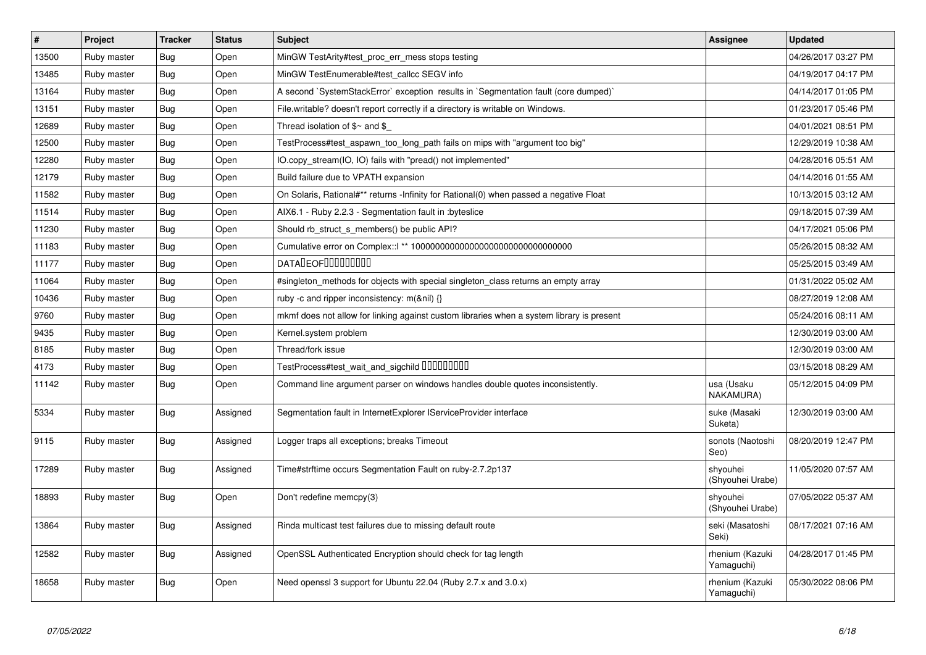| $\sharp$ | Project     | <b>Tracker</b> | <b>Status</b> | <b>Subject</b>                                                                            | Assignee                      | <b>Updated</b>      |
|----------|-------------|----------------|---------------|-------------------------------------------------------------------------------------------|-------------------------------|---------------------|
| 13500    | Ruby master | Bug            | Open          | MinGW TestArity#test proc err mess stops testing                                          |                               | 04/26/2017 03:27 PM |
| 13485    | Ruby master | <b>Bug</b>     | Open          | MinGW TestEnumerable#test callcc SEGV info                                                |                               | 04/19/2017 04:17 PM |
| 13164    | Ruby master | Bug            | Open          | A second `SystemStackError` exception results in `Segmentation fault (core dumped)`       |                               | 04/14/2017 01:05 PM |
| 13151    | Ruby master | <b>Bug</b>     | Open          | File.writable? doesn't report correctly if a directory is writable on Windows.            |                               | 01/23/2017 05:46 PM |
| 12689    | Ruby master | Bug            | Open          | Thread isolation of $\gamma$ and $\gamma$                                                 |                               | 04/01/2021 08:51 PM |
| 12500    | Ruby master | <b>Bug</b>     | Open          | TestProcess#test_aspawn_too_long_path fails on mips with "argument too big"               |                               | 12/29/2019 10:38 AM |
| 12280    | Ruby master | Bug            | Open          | IO.copy stream(IO, IO) fails with "pread() not implemented"                               |                               | 04/28/2016 05:51 AM |
| 12179    | Ruby master | <b>Bug</b>     | Open          | Build failure due to VPATH expansion                                                      |                               | 04/14/2016 01:55 AM |
| 11582    | Ruby master | Bug            | Open          | On Solaris, Rational#** returns -Infinity for Rational(0) when passed a negative Float    |                               | 10/13/2015 03:12 AM |
| 11514    | Ruby master | Bug            | Open          | AIX6.1 - Ruby 2.2.3 - Segmentation fault in :byteslice                                    |                               | 09/18/2015 07:39 AM |
| 11230    | Ruby master | <b>Bug</b>     | Open          | Should rb_struct_s_members() be public API?                                               |                               | 04/17/2021 05:06 PM |
| 11183    | Ruby master | Bug            | Open          |                                                                                           |                               | 05/26/2015 08:32 AM |
| 11177    | Ruby master | <b>Bug</b>     | Open          | <b>DATALEOFILILILILILI</b>                                                                |                               | 05/25/2015 03:49 AM |
| 11064    | Ruby master | Bug            | Open          | #singleton_methods for objects with special singleton_class returns an empty array        |                               | 01/31/2022 05:02 AM |
| 10436    | Ruby master | Bug            | Open          | ruby -c and ripper inconsistency: m(&nil) {}                                              |                               | 08/27/2019 12:08 AM |
| 9760     | Ruby master | Bug            | Open          | mkmf does not allow for linking against custom libraries when a system library is present |                               | 05/24/2016 08:11 AM |
| 9435     | Ruby master | Bug            | Open          | Kernel.system problem                                                                     |                               | 12/30/2019 03:00 AM |
| 8185     | Ruby master | <b>Bug</b>     | Open          | Thread/fork issue                                                                         |                               | 12/30/2019 03:00 AM |
| 4173     | Ruby master | <b>Bug</b>     | Open          | TestProcess#test_wait_and_sigchild DDDDDDDD                                               |                               | 03/15/2018 08:29 AM |
| 11142    | Ruby master | Bug            | Open          | Command line argument parser on windows handles double quotes inconsistently.             | usa (Usaku<br>NAKAMURA)       | 05/12/2015 04:09 PM |
| 5334     | Ruby master | <b>Bug</b>     | Assigned      | Segmentation fault in InternetExplorer IServiceProvider interface                         | suke (Masaki<br>Suketa)       | 12/30/2019 03:00 AM |
| 9115     | Ruby master | Bug            | Assigned      | Logger traps all exceptions; breaks Timeout                                               | sonots (Naotoshi<br>Seo)      | 08/20/2019 12:47 PM |
| 17289    | Ruby master | Bug            | Assigned      | Time#strftime occurs Segmentation Fault on ruby-2.7.2p137                                 | shyouhei<br>(Shyouhei Urabe)  | 11/05/2020 07:57 AM |
| 18893    | Ruby master | <b>Bug</b>     | Open          | Don't redefine memcpy(3)                                                                  | shyouhei<br>(Shyouhei Urabe)  | 07/05/2022 05:37 AM |
| 13864    | Ruby master | <b>Bug</b>     | Assigned      | Rinda multicast test failures due to missing default route                                | seki (Masatoshi<br>Seki)      | 08/17/2021 07:16 AM |
| 12582    | Ruby master | <b>Bug</b>     | Assigned      | OpenSSL Authenticated Encryption should check for tag length                              | rhenium (Kazuki<br>Yamaguchi) | 04/28/2017 01:45 PM |
| 18658    | Ruby master | <b>Bug</b>     | Open          | Need openssl 3 support for Ubuntu 22.04 (Ruby 2.7.x and 3.0.x)                            | rhenium (Kazuki<br>Yamaguchi) | 05/30/2022 08:06 PM |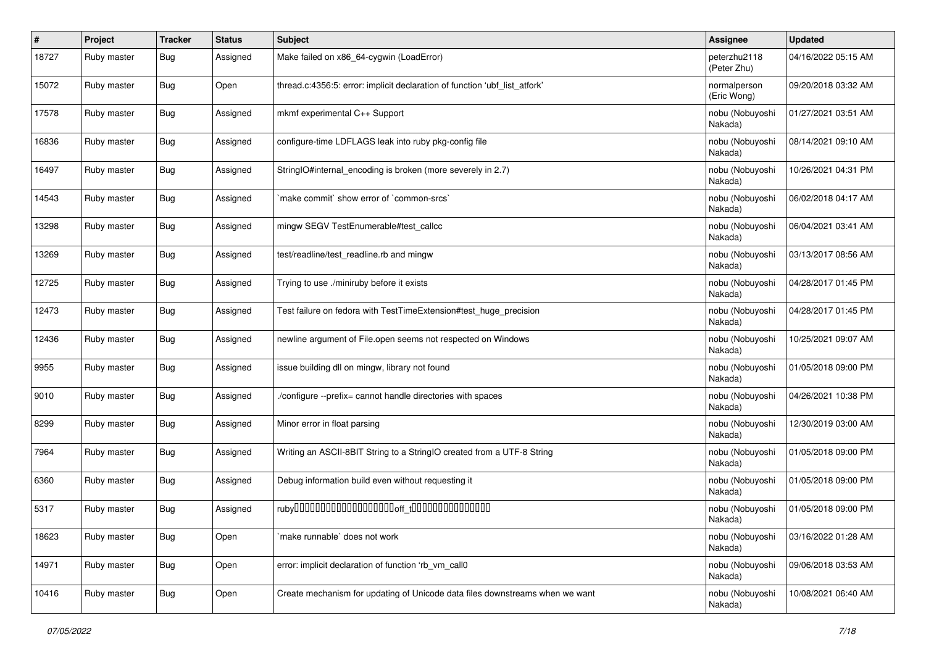| $\sharp$ | Project     | <b>Tracker</b> | <b>Status</b> | <b>Subject</b>                                                               | <b>Assignee</b>             | <b>Updated</b>      |
|----------|-------------|----------------|---------------|------------------------------------------------------------------------------|-----------------------------|---------------------|
| 18727    | Ruby master | <b>Bug</b>     | Assigned      | Make failed on x86_64-cygwin (LoadError)                                     | peterzhu2118<br>(Peter Zhu) | 04/16/2022 05:15 AM |
| 15072    | Ruby master | <b>Bug</b>     | Open          | thread.c:4356:5: error: implicit declaration of function 'ubf_list_atfork'   | normalperson<br>(Eric Wong) | 09/20/2018 03:32 AM |
| 17578    | Ruby master | <b>Bug</b>     | Assigned      | mkmf experimental C++ Support                                                | nobu (Nobuyoshi<br>Nakada)  | 01/27/2021 03:51 AM |
| 16836    | Ruby master | Bug            | Assigned      | configure-time LDFLAGS leak into ruby pkg-config file                        | nobu (Nobuyoshi<br>Nakada)  | 08/14/2021 09:10 AM |
| 16497    | Ruby master | <b>Bug</b>     | Assigned      | StringIO#internal_encoding is broken (more severely in 2.7)                  | nobu (Nobuyoshi<br>Nakada)  | 10/26/2021 04:31 PM |
| 14543    | Ruby master | Bug            | Assigned      | 'make commit' show error of 'common-srcs'                                    | nobu (Nobuyoshi<br>Nakada)  | 06/02/2018 04:17 AM |
| 13298    | Ruby master | <b>Bug</b>     | Assigned      | mingw SEGV TestEnumerable#test_callcc                                        | nobu (Nobuyoshi<br>Nakada)  | 06/04/2021 03:41 AM |
| 13269    | Ruby master | Bug            | Assigned      | test/readline/test_readline.rb and mingw                                     | nobu (Nobuyoshi<br>Nakada)  | 03/13/2017 08:56 AM |
| 12725    | Ruby master | <b>Bug</b>     | Assigned      | Trying to use ./miniruby before it exists                                    | nobu (Nobuyoshi<br>Nakada)  | 04/28/2017 01:45 PM |
| 12473    | Ruby master | Bug            | Assigned      | Test failure on fedora with TestTimeExtension#test_huge_precision            | nobu (Nobuyoshi<br>Nakada)  | 04/28/2017 01:45 PM |
| 12436    | Ruby master | Bug            | Assigned      | newline argument of File.open seems not respected on Windows                 | nobu (Nobuyoshi<br>Nakada)  | 10/25/2021 09:07 AM |
| 9955     | Ruby master | Bug            | Assigned      | issue building dll on mingw, library not found                               | nobu (Nobuyoshi<br>Nakada)  | 01/05/2018 09:00 PM |
| 9010     | Ruby master | <b>Bug</b>     | Assigned      | /configure --prefix= cannot handle directories with spaces                   | nobu (Nobuyoshi<br>Nakada)  | 04/26/2021 10:38 PM |
| 8299     | Ruby master | Bug            | Assigned      | Minor error in float parsing                                                 | nobu (Nobuyoshi<br>Nakada)  | 12/30/2019 03:00 AM |
| 7964     | Ruby master | Bug            | Assigned      | Writing an ASCII-8BIT String to a StringIO created from a UTF-8 String       | nobu (Nobuyoshi<br>Nakada)  | 01/05/2018 09:00 PM |
| 6360     | Ruby master | Bug            | Assigned      | Debug information build even without requesting it                           | nobu (Nobuyoshi<br>Nakada)  | 01/05/2018 09:00 PM |
| 5317     | Ruby master | Bug            | Assigned      |                                                                              | nobu (Nobuyoshi<br>Nakada)  | 01/05/2018 09:00 PM |
| 18623    | Ruby master | <b>Bug</b>     | Open          | make runnable' does not work                                                 | nobu (Nobuyoshi<br>Nakada)  | 03/16/2022 01:28 AM |
| 14971    | Ruby master | <b>Bug</b>     | Open          | error: implicit declaration of function 'rb vm call0                         | nobu (Nobuyoshi<br>Nakada)  | 09/06/2018 03:53 AM |
| 10416    | Ruby master | Bug            | Open          | Create mechanism for updating of Unicode data files downstreams when we want | nobu (Nobuyoshi<br>Nakada)  | 10/08/2021 06:40 AM |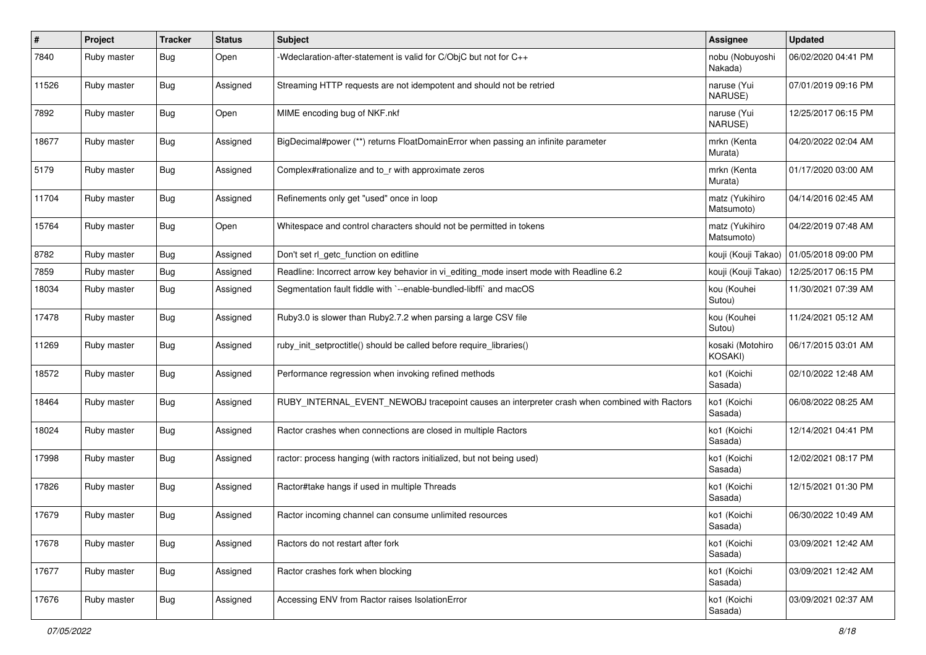| #     | Project     | <b>Tracker</b> | <b>Status</b> | Subject                                                                                      | <b>Assignee</b>              | <b>Updated</b>      |
|-------|-------------|----------------|---------------|----------------------------------------------------------------------------------------------|------------------------------|---------------------|
| 7840  | Ruby master | <b>Bug</b>     | Open          | -Wdeclaration-after-statement is valid for C/ObjC but not for C++                            | nobu (Nobuyoshi<br>Nakada)   | 06/02/2020 04:41 PM |
| 11526 | Ruby master | Bug            | Assigned      | Streaming HTTP requests are not idempotent and should not be retried                         | naruse (Yui<br>NARUSE)       | 07/01/2019 09:16 PM |
| 7892  | Ruby master | <b>Bug</b>     | Open          | MIME encoding bug of NKF.nkf                                                                 | naruse (Yui<br>NARUSE)       | 12/25/2017 06:15 PM |
| 18677 | Ruby master | Bug            | Assigned      | BigDecimal#power (**) returns FloatDomainError when passing an infinite parameter            | mrkn (Kenta<br>Murata)       | 04/20/2022 02:04 AM |
| 5179  | Ruby master | Bug            | Assigned      | Complex#rationalize and to_r with approximate zeros                                          | mrkn (Kenta<br>Murata)       | 01/17/2020 03:00 AM |
| 11704 | Ruby master | <b>Bug</b>     | Assigned      | Refinements only get "used" once in loop                                                     | matz (Yukihiro<br>Matsumoto) | 04/14/2016 02:45 AM |
| 15764 | Ruby master | Bug            | Open          | Whitespace and control characters should not be permitted in tokens                          | matz (Yukihiro<br>Matsumoto) | 04/22/2019 07:48 AM |
| 8782  | Ruby master | Bug            | Assigned      | Don't set rl_getc_function on editline                                                       | kouji (Kouji Takao)          | 01/05/2018 09:00 PM |
| 7859  | Ruby master | <b>Bug</b>     | Assigned      | Readline: Incorrect arrow key behavior in vi_editing_mode insert mode with Readline 6.2      | kouji (Kouji Takao)          | 12/25/2017 06:15 PM |
| 18034 | Ruby master | <b>Bug</b>     | Assigned      | Segmentation fault fiddle with `--enable-bundled-libffi` and macOS                           | kou (Kouhei<br>Sutou)        | 11/30/2021 07:39 AM |
| 17478 | Ruby master | Bug            | Assigned      | Ruby3.0 is slower than Ruby2.7.2 when parsing a large CSV file                               | kou (Kouhei<br>Sutou)        | 11/24/2021 05:12 AM |
| 11269 | Ruby master | Bug            | Assigned      | ruby_init_setproctitle() should be called before require_libraries()                         | kosaki (Motohiro<br>KOSAKI)  | 06/17/2015 03:01 AM |
| 18572 | Ruby master | <b>Bug</b>     | Assigned      | Performance regression when invoking refined methods                                         | ko1 (Koichi<br>Sasada)       | 02/10/2022 12:48 AM |
| 18464 | Ruby master | Bug            | Assigned      | RUBY_INTERNAL_EVENT_NEWOBJ tracepoint causes an interpreter crash when combined with Ractors | ko1 (Koichi<br>Sasada)       | 06/08/2022 08:25 AM |
| 18024 | Ruby master | Bug            | Assigned      | Ractor crashes when connections are closed in multiple Ractors                               | ko1 (Koichi<br>Sasada)       | 12/14/2021 04:41 PM |
| 17998 | Ruby master | Bug            | Assigned      | ractor: process hanging (with ractors initialized, but not being used)                       | ko1 (Koichi<br>Sasada)       | 12/02/2021 08:17 PM |
| 17826 | Ruby master | Bug            | Assigned      | Ractor#take hangs if used in multiple Threads                                                | ko1 (Koichi<br>Sasada)       | 12/15/2021 01:30 PM |
| 17679 | Ruby master | <b>Bug</b>     | Assigned      | Ractor incoming channel can consume unlimited resources                                      | ko1 (Koichi<br>Sasada)       | 06/30/2022 10:49 AM |
| 17678 | Ruby master | <b>Bug</b>     | Assigned      | Ractors do not restart after fork                                                            | ko1 (Koichi<br>Sasada)       | 03/09/2021 12:42 AM |
| 17677 | Ruby master | Bug            | Assigned      | Ractor crashes fork when blocking                                                            | ko1 (Koichi<br>Sasada)       | 03/09/2021 12:42 AM |
| 17676 | Ruby master | Bug            | Assigned      | Accessing ENV from Ractor raises IsolationError                                              | ko1 (Koichi<br>Sasada)       | 03/09/2021 02:37 AM |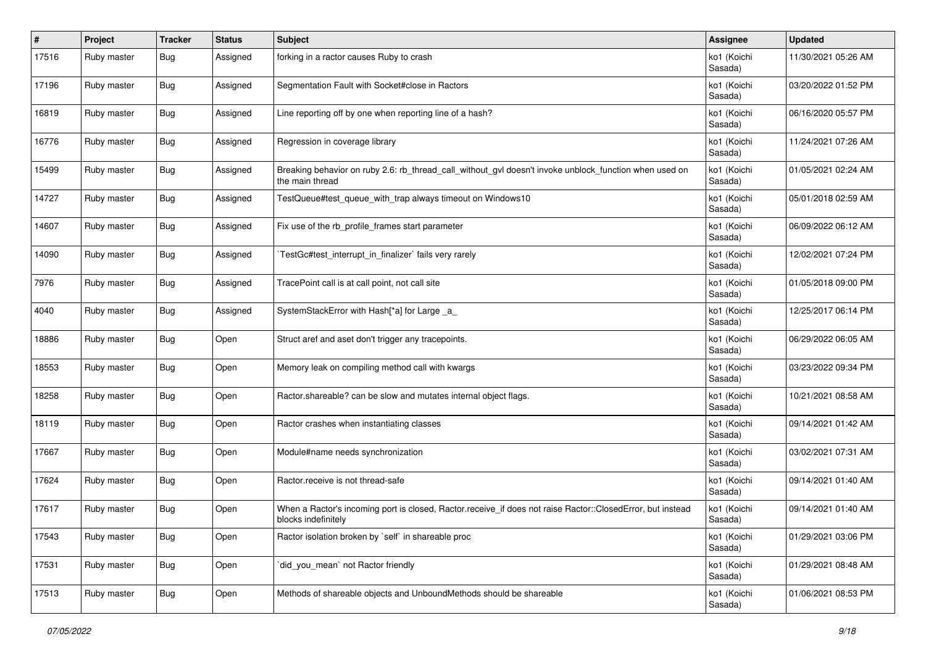| #     | Project     | <b>Tracker</b> | <b>Status</b> | <b>Subject</b>                                                                                                                    | <b>Assignee</b>        | <b>Updated</b>      |
|-------|-------------|----------------|---------------|-----------------------------------------------------------------------------------------------------------------------------------|------------------------|---------------------|
| 17516 | Ruby master | Bug            | Assigned      | forking in a ractor causes Ruby to crash                                                                                          | ko1 (Koichi<br>Sasada) | 11/30/2021 05:26 AM |
| 17196 | Ruby master | Bug            | Assigned      | Segmentation Fault with Socket#close in Ractors                                                                                   | ko1 (Koichi<br>Sasada) | 03/20/2022 01:52 PM |
| 16819 | Ruby master | Bug            | Assigned      | Line reporting off by one when reporting line of a hash?                                                                          | ko1 (Koichi<br>Sasada) | 06/16/2020 05:57 PM |
| 16776 | Ruby master | <b>Bug</b>     | Assigned      | Regression in coverage library                                                                                                    | ko1 (Koichi<br>Sasada) | 11/24/2021 07:26 AM |
| 15499 | Ruby master | <b>Bug</b>     | Assigned      | Breaking behavior on ruby 2.6: rb_thread_call_without_gvl doesn't invoke unblock_function when used on<br>the main thread         | ko1 (Koichi<br>Sasada) | 01/05/2021 02:24 AM |
| 14727 | Ruby master | <b>Bug</b>     | Assigned      | TestQueue#test_queue_with_trap always timeout on Windows10                                                                        | ko1 (Koichi<br>Sasada) | 05/01/2018 02:59 AM |
| 14607 | Ruby master | Bug            | Assigned      | Fix use of the rb_profile_frames start parameter                                                                                  | ko1 (Koichi<br>Sasada) | 06/09/2022 06:12 AM |
| 14090 | Ruby master | <b>Bug</b>     | Assigned      | TestGc#test_interrupt_in_finalizer` fails very rarely                                                                             | ko1 (Koichi<br>Sasada) | 12/02/2021 07:24 PM |
| 7976  | Ruby master | <b>Bug</b>     | Assigned      | TracePoint call is at call point, not call site                                                                                   | ko1 (Koichi<br>Sasada) | 01/05/2018 09:00 PM |
| 4040  | Ruby master | Bug            | Assigned      | SystemStackError with Hash[*a] for Large _a_                                                                                      | ko1 (Koichi<br>Sasada) | 12/25/2017 06:14 PM |
| 18886 | Ruby master | <b>Bug</b>     | Open          | Struct aref and aset don't trigger any tracepoints.                                                                               | ko1 (Koichi<br>Sasada) | 06/29/2022 06:05 AM |
| 18553 | Ruby master | Bug            | Open          | Memory leak on compiling method call with kwargs                                                                                  | ko1 (Koichi<br>Sasada) | 03/23/2022 09:34 PM |
| 18258 | Ruby master | <b>Bug</b>     | Open          | Ractor.shareable? can be slow and mutates internal object flags.                                                                  | ko1 (Koichi<br>Sasada) | 10/21/2021 08:58 AM |
| 18119 | Ruby master | Bug            | Open          | Ractor crashes when instantiating classes                                                                                         | ko1 (Koichi<br>Sasada) | 09/14/2021 01:42 AM |
| 17667 | Ruby master | Bug            | Open          | Module#name needs synchronization                                                                                                 | ko1 (Koichi<br>Sasada) | 03/02/2021 07:31 AM |
| 17624 | Ruby master | <b>Bug</b>     | Open          | Ractor.receive is not thread-safe                                                                                                 | ko1 (Koichi<br>Sasada) | 09/14/2021 01:40 AM |
| 17617 | Ruby master | <b>Bug</b>     | Open          | When a Ractor's incoming port is closed, Ractor.receive_if does not raise Ractor::ClosedError, but instead<br>blocks indefinitely | ko1 (Koichi<br>Sasada) | 09/14/2021 01:40 AM |
| 17543 | Ruby master | <b>Bug</b>     | Open          | Ractor isolation broken by `self` in shareable proc                                                                               | ko1 (Koichi<br>Sasada) | 01/29/2021 03:06 PM |
| 17531 | Ruby master | <b>Bug</b>     | Open          | did you mean' not Ractor friendly                                                                                                 | ko1 (Koichi<br>Sasada) | 01/29/2021 08:48 AM |
| 17513 | Ruby master | <b>Bug</b>     | Open          | Methods of shareable objects and UnboundMethods should be shareable                                                               | ko1 (Koichi<br>Sasada) | 01/06/2021 08:53 PM |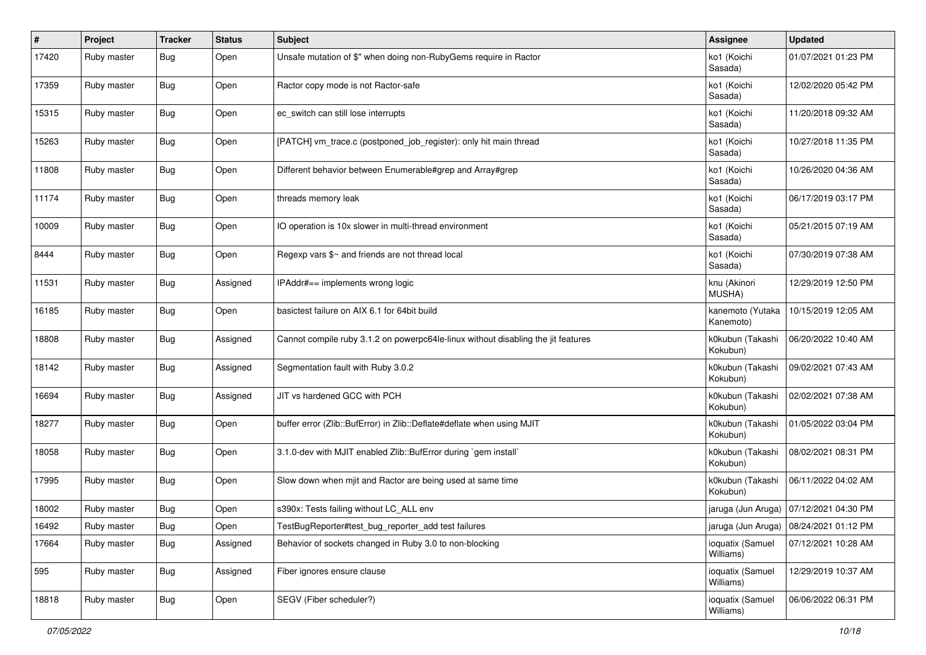| $\sharp$ | Project     | <b>Tracker</b> | <b>Status</b> | <b>Subject</b>                                                                    | <b>Assignee</b>               | <b>Updated</b>                           |
|----------|-------------|----------------|---------------|-----------------------------------------------------------------------------------|-------------------------------|------------------------------------------|
| 17420    | Ruby master | Bug            | Open          | Unsafe mutation of \$" when doing non-RubyGems require in Ractor                  | ko1 (Koichi<br>Sasada)        | 01/07/2021 01:23 PM                      |
| 17359    | Ruby master | Bug            | Open          | Ractor copy mode is not Ractor-safe                                               | ko1 (Koichi<br>Sasada)        | 12/02/2020 05:42 PM                      |
| 15315    | Ruby master | <b>Bug</b>     | Open          | ec_switch can still lose interrupts                                               | ko1 (Koichi<br>Sasada)        | 11/20/2018 09:32 AM                      |
| 15263    | Ruby master | <b>Bug</b>     | Open          | [PATCH] vm_trace.c (postponed_job_register): only hit main thread                 | ko1 (Koichi<br>Sasada)        | 10/27/2018 11:35 PM                      |
| 11808    | Ruby master | <b>Bug</b>     | Open          | Different behavior between Enumerable#grep and Array#grep                         | ko1 (Koichi<br>Sasada)        | 10/26/2020 04:36 AM                      |
| 11174    | Ruby master | <b>Bug</b>     | Open          | threads memory leak                                                               | ko1 (Koichi<br>Sasada)        | 06/17/2019 03:17 PM                      |
| 10009    | Ruby master | <b>Bug</b>     | Open          | IO operation is 10x slower in multi-thread environment                            | ko1 (Koichi<br>Sasada)        | 05/21/2015 07:19 AM                      |
| 8444     | Ruby master | <b>Bug</b>     | Open          | Regexp vars \$~ and friends are not thread local                                  | ko1 (Koichi<br>Sasada)        | 07/30/2019 07:38 AM                      |
| 11531    | Ruby master | Bug            | Assigned      | IPAddr#== implements wrong logic                                                  | knu (Akinori<br>MUSHA)        | 12/29/2019 12:50 PM                      |
| 16185    | Ruby master | Bug            | Open          | basictest failure on AIX 6.1 for 64bit build                                      | kanemoto (Yutaka<br>Kanemoto) | 10/15/2019 12:05 AM                      |
| 18808    | Ruby master | <b>Bug</b>     | Assigned      | Cannot compile ruby 3.1.2 on powerpc64le-linux without disabling the jit features | k0kubun (Takashi<br>Kokubun)  | 06/20/2022 10:40 AM                      |
| 18142    | Ruby master | <b>Bug</b>     | Assigned      | Segmentation fault with Ruby 3.0.2                                                | k0kubun (Takashi<br>Kokubun)  | 09/02/2021 07:43 AM                      |
| 16694    | Ruby master | <b>Bug</b>     | Assigned      | JIT vs hardened GCC with PCH                                                      | k0kubun (Takashi<br>Kokubun)  | 02/02/2021 07:38 AM                      |
| 18277    | Ruby master | <b>Bug</b>     | Open          | buffer error (Zlib::BufError) in Zlib::Deflate#deflate when using MJIT            | k0kubun (Takashi<br>Kokubun)  | 01/05/2022 03:04 PM                      |
| 18058    | Ruby master | <b>Bug</b>     | Open          | 3.1.0-dev with MJIT enabled Zlib::BufError during `gem install`                   | k0kubun (Takashi<br>Kokubun)  | 08/02/2021 08:31 PM                      |
| 17995    | Ruby master | <b>Bug</b>     | Open          | Slow down when mjit and Ractor are being used at same time                        | k0kubun (Takashi<br>Kokubun)  | 06/11/2022 04:02 AM                      |
| 18002    | Ruby master | <b>Bug</b>     | Open          | s390x: Tests failing without LC_ALL env                                           |                               | jaruga (Jun Aruga)   07/12/2021 04:30 PM |
| 16492    | Ruby master | <b>Bug</b>     | Open          | TestBugReporter#test_bug_reporter_add test failures                               |                               | jaruga (Jun Aruga)   08/24/2021 01:12 PM |
| 17664    | Ruby master | Bug            | Assigned      | Behavior of sockets changed in Ruby 3.0 to non-blocking                           | ioquatix (Samuel<br>Williams) | 07/12/2021 10:28 AM                      |
| 595      | Ruby master | <b>Bug</b>     | Assigned      | Fiber ignores ensure clause                                                       | ioquatix (Samuel<br>Williams) | 12/29/2019 10:37 AM                      |
| 18818    | Ruby master | <b>Bug</b>     | Open          | SEGV (Fiber scheduler?)                                                           | ioquatix (Samuel<br>Williams) | 06/06/2022 06:31 PM                      |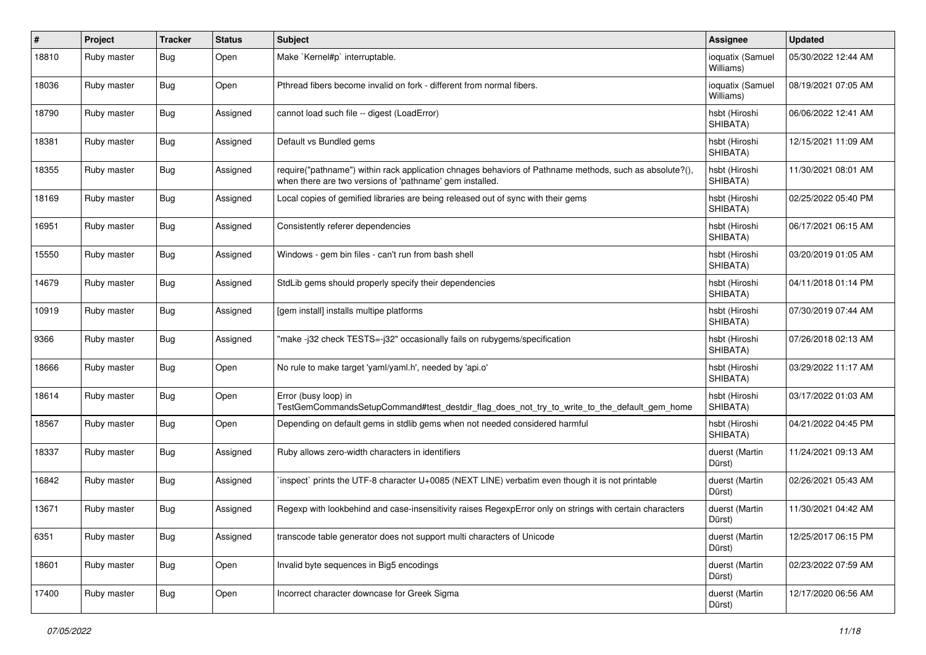| #     | Project     | <b>Tracker</b> | <b>Status</b> | <b>Subject</b>                                                                                                                                                      | <b>Assignee</b>               | <b>Updated</b>      |
|-------|-------------|----------------|---------------|---------------------------------------------------------------------------------------------------------------------------------------------------------------------|-------------------------------|---------------------|
| 18810 | Ruby master | Bug            | Open          | Make `Kernel#p` interruptable.                                                                                                                                      | ioquatix (Samuel<br>Williams) | 05/30/2022 12:44 AM |
| 18036 | Ruby master | <b>Bug</b>     | Open          | Pthread fibers become invalid on fork - different from normal fibers.                                                                                               | ioquatix (Samuel<br>Williams) | 08/19/2021 07:05 AM |
| 18790 | Ruby master | <b>Bug</b>     | Assigned      | cannot load such file -- digest (LoadError)                                                                                                                         | hsbt (Hiroshi<br>SHIBATA)     | 06/06/2022 12:41 AM |
| 18381 | Ruby master | <b>Bug</b>     | Assigned      | Default vs Bundled gems                                                                                                                                             | hsbt (Hiroshi<br>SHIBATA)     | 12/15/2021 11:09 AM |
| 18355 | Ruby master | <b>Bug</b>     | Assigned      | require("pathname") within rack application chnages behaviors of Pathname methods, such as absolute?(),<br>when there are two versions of 'pathname' gem installed. | hsbt (Hiroshi<br>SHIBATA)     | 11/30/2021 08:01 AM |
| 18169 | Ruby master | <b>Bug</b>     | Assigned      | Local copies of gemified libraries are being released out of sync with their gems                                                                                   | hsbt (Hiroshi<br>SHIBATA)     | 02/25/2022 05:40 PM |
| 16951 | Ruby master | <b>Bug</b>     | Assigned      | Consistently referer dependencies                                                                                                                                   | hsbt (Hiroshi<br>SHIBATA)     | 06/17/2021 06:15 AM |
| 15550 | Ruby master | Bug            | Assigned      | Windows - gem bin files - can't run from bash shell                                                                                                                 | hsbt (Hiroshi<br>SHIBATA)     | 03/20/2019 01:05 AM |
| 14679 | Ruby master | <b>Bug</b>     | Assigned      | StdLib gems should properly specify their dependencies                                                                                                              | hsbt (Hiroshi<br>SHIBATA)     | 04/11/2018 01:14 PM |
| 10919 | Ruby master | Bug            | Assigned      | [gem install] installs multipe platforms                                                                                                                            | hsbt (Hiroshi<br>SHIBATA)     | 07/30/2019 07:44 AM |
| 9366  | Ruby master | Bug            | Assigned      | 'make-j32 check TESTS=-j32" occasionally fails on rubygems/specification                                                                                            | hsbt (Hiroshi<br>SHIBATA)     | 07/26/2018 02:13 AM |
| 18666 | Ruby master | Bug            | Open          | No rule to make target 'yaml/yaml.h', needed by 'api.o'                                                                                                             | hsbt (Hiroshi<br>SHIBATA)     | 03/29/2022 11:17 AM |
| 18614 | Ruby master | <b>Bug</b>     | Open          | Error (busy loop) in<br>TestGemCommandsSetupCommand#test_destdir_flag_does_not_try_to_write_to_the_default_gem_home                                                 | hsbt (Hiroshi<br>SHIBATA)     | 03/17/2022 01:03 AM |
| 18567 | Ruby master | Bug            | Open          | Depending on default gems in stdlib gems when not needed considered harmful                                                                                         | hsbt (Hiroshi<br>SHIBATA)     | 04/21/2022 04:45 PM |
| 18337 | Ruby master | Bug            | Assigned      | Ruby allows zero-width characters in identifiers                                                                                                                    | duerst (Martin<br>Dürst)      | 11/24/2021 09:13 AM |
| 16842 | Ruby master | Bug            | Assigned      | inspect` prints the UTF-8 character U+0085 (NEXT LINE) verbatim even though it is not printable                                                                     | duerst (Martin<br>Dürst)      | 02/26/2021 05:43 AM |
| 13671 | Ruby master | <b>Bug</b>     | Assigned      | Regexp with lookbehind and case-insensitivity raises RegexpError only on strings with certain characters                                                            | duerst (Martin<br>Dürst)      | 11/30/2021 04:42 AM |
| 6351  | Ruby master | <b>Bug</b>     | Assigned      | transcode table generator does not support multi characters of Unicode                                                                                              | duerst (Martin<br>Dürst)      | 12/25/2017 06:15 PM |
| 18601 | Ruby master | <b>Bug</b>     | Open          | Invalid byte sequences in Big5 encodings                                                                                                                            | duerst (Martin<br>Dürst)      | 02/23/2022 07:59 AM |
| 17400 | Ruby master | <b>Bug</b>     | Open          | Incorrect character downcase for Greek Sigma                                                                                                                        | duerst (Martin<br>Dürst)      | 12/17/2020 06:56 AM |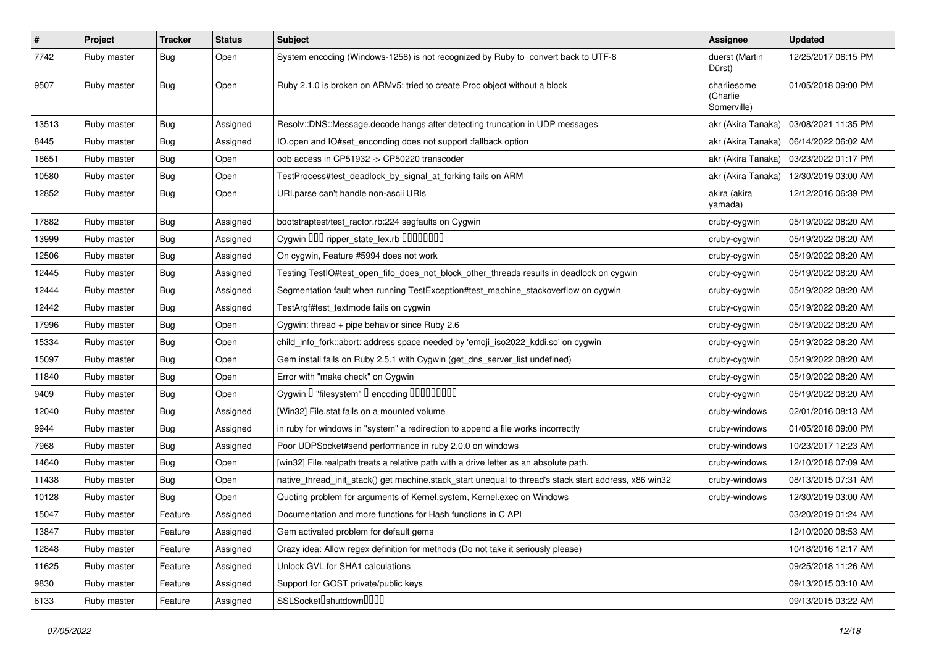| $\pmb{\#}$ | Project     | <b>Tracker</b> | <b>Status</b> | Subject                                                                                               | Assignee                               | <b>Updated</b>      |
|------------|-------------|----------------|---------------|-------------------------------------------------------------------------------------------------------|----------------------------------------|---------------------|
| 7742       | Ruby master | Bug            | Open          | System encoding (Windows-1258) is not recognized by Ruby to convert back to UTF-8                     | duerst (Martin<br>Dürst)               | 12/25/2017 06:15 PM |
| 9507       | Ruby master | Bug            | Open          | Ruby 2.1.0 is broken on ARMv5: tried to create Proc object without a block                            | charliesome<br>(Charlie<br>Somerville) | 01/05/2018 09:00 PM |
| 13513      | Ruby master | Bug            | Assigned      | Resolv::DNS::Message.decode hangs after detecting truncation in UDP messages                          | akr (Akira Tanaka)                     | 03/08/2021 11:35 PM |
| 8445       | Ruby master | <b>Bug</b>     | Assigned      | IO.open and IO#set_enconding does not support :fallback option                                        | akr (Akira Tanaka)                     | 06/14/2022 06:02 AM |
| 18651      | Ruby master | <b>Bug</b>     | Open          | oob access in CP51932 -> CP50220 transcoder                                                           | akr (Akira Tanaka)                     | 03/23/2022 01:17 PM |
| 10580      | Ruby master | <b>Bug</b>     | Open          | TestProcess#test_deadlock_by_signal_at_forking fails on ARM                                           | akr (Akira Tanaka)                     | 12/30/2019 03:00 AM |
| 12852      | Ruby master | Bug            | Open          | URI.parse can't handle non-ascii URIs                                                                 | akira (akira<br>yamada)                | 12/12/2016 06:39 PM |
| 17882      | Ruby master | <b>Bug</b>     | Assigned      | bootstraptest/test_ractor.rb:224 segfaults on Cygwin                                                  | cruby-cygwin                           | 05/19/2022 08:20 AM |
| 13999      | Ruby master | Bug            | Assigned      | Cygwin DDD ripper_state_lex.rb DDDDDDDD                                                               | cruby-cygwin                           | 05/19/2022 08:20 AM |
| 12506      | Ruby master | Bug            | Assigned      | On cygwin, Feature #5994 does not work                                                                | cruby-cygwin                           | 05/19/2022 08:20 AM |
| 12445      | Ruby master | <b>Bug</b>     | Assigned      | Testing TestIO#test_open_fifo_does_not_block_other_threads results in deadlock on cygwin              | cruby-cygwin                           | 05/19/2022 08:20 AM |
| 12444      | Ruby master | <b>Bug</b>     | Assigned      | Segmentation fault when running TestException#test_machine_stackoverflow on cygwin                    | cruby-cygwin                           | 05/19/2022 08:20 AM |
| 12442      | Ruby master | <b>Bug</b>     | Assigned      | TestArgf#test_textmode fails on cygwin                                                                | cruby-cygwin                           | 05/19/2022 08:20 AM |
| 17996      | Ruby master | Bug            | Open          | Cygwin: thread + pipe behavior since Ruby 2.6                                                         | cruby-cygwin                           | 05/19/2022 08:20 AM |
| 15334      | Ruby master | <b>Bug</b>     | Open          | child_info_fork::abort: address space needed by 'emoji_iso2022_kddi.so' on cygwin                     | cruby-cygwin                           | 05/19/2022 08:20 AM |
| 15097      | Ruby master | Bug            | Open          | Gem install fails on Ruby 2.5.1 with Cygwin (get_dns_server_list undefined)                           | cruby-cygwin                           | 05/19/2022 08:20 AM |
| 11840      | Ruby master | Bug            | Open          | Error with "make check" on Cygwin                                                                     | cruby-cygwin                           | 05/19/2022 08:20 AM |
| 9409       | Ruby master | <b>Bug</b>     | Open          |                                                                                                       | cruby-cygwin                           | 05/19/2022 08:20 AM |
| 12040      | Ruby master | Bug            | Assigned      | [Win32] File.stat fails on a mounted volume                                                           | cruby-windows                          | 02/01/2016 08:13 AM |
| 9944       | Ruby master | <b>Bug</b>     | Assigned      | in ruby for windows in "system" a redirection to append a file works incorrectly                      | cruby-windows                          | 01/05/2018 09:00 PM |
| 7968       | Ruby master | <b>Bug</b>     | Assigned      | Poor UDPSocket#send performance in ruby 2.0.0 on windows                                              | cruby-windows                          | 10/23/2017 12:23 AM |
| 14640      | Ruby master | Bug            | Open          | [win32] File.realpath treats a relative path with a drive letter as an absolute path.                 | cruby-windows                          | 12/10/2018 07:09 AM |
| 11438      | Ruby master | <b>Bug</b>     | Open          | native_thread_init_stack() get machine.stack_start unequal to thread's stack start address, x86 win32 | cruby-windows                          | 08/13/2015 07:31 AM |
| 10128      | Ruby master | <b>Bug</b>     | Open          | Quoting problem for arguments of Kernel.system, Kernel.exec on Windows                                | cruby-windows                          | 12/30/2019 03:00 AM |
| 15047      | Ruby master | Feature        | Assigned      | Documentation and more functions for Hash functions in C API                                          |                                        | 03/20/2019 01:24 AM |
| 13847      | Ruby master | Feature        | Assigned      | Gem activated problem for default gems                                                                |                                        | 12/10/2020 08:53 AM |
| 12848      | Ruby master | Feature        | Assigned      | Crazy idea: Allow regex definition for methods (Do not take it seriously please)                      |                                        | 10/18/2016 12:17 AM |
| 11625      | Ruby master | Feature        | Assigned      | Unlock GVL for SHA1 calculations                                                                      |                                        | 09/25/2018 11:26 AM |
| 9830       | Ruby master | Feature        | Assigned      | Support for GOST private/public keys                                                                  |                                        | 09/13/2015 03:10 AM |
| 6133       | Ruby master | Feature        | Assigned      | SSLSocket <sup>[</sup> shutdown <sup>[101]</sup>                                                      |                                        | 09/13/2015 03:22 AM |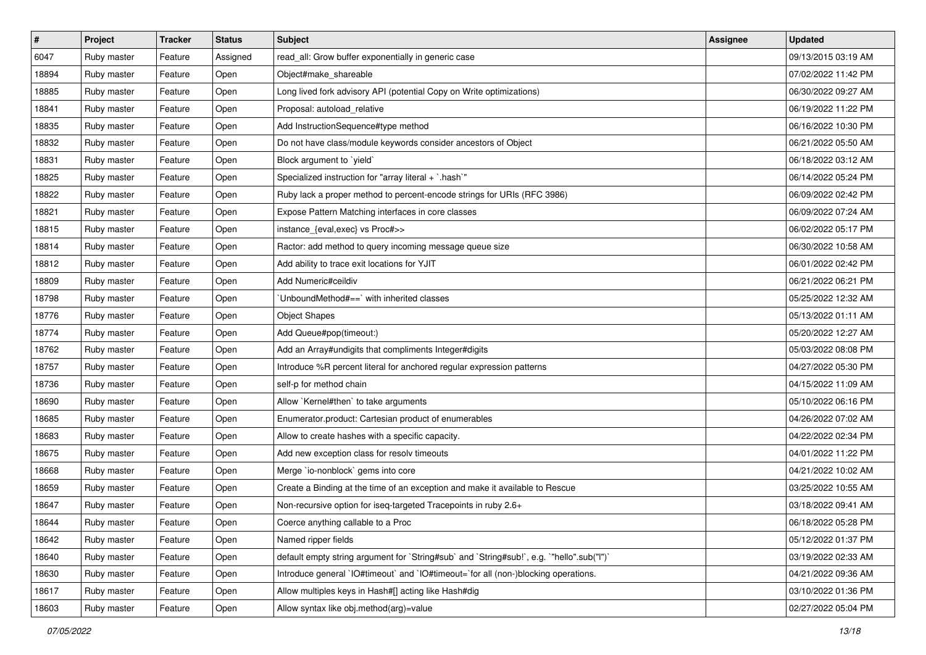| $\vert$ # | Project     | <b>Tracker</b> | <b>Status</b> | Subject                                                                                   | <b>Assignee</b> | <b>Updated</b>      |
|-----------|-------------|----------------|---------------|-------------------------------------------------------------------------------------------|-----------------|---------------------|
| 6047      | Ruby master | Feature        | Assigned      | read_all: Grow buffer exponentially in generic case                                       |                 | 09/13/2015 03:19 AM |
| 18894     | Ruby master | Feature        | Open          | Object#make_shareable                                                                     |                 | 07/02/2022 11:42 PM |
| 18885     | Ruby master | Feature        | Open          | Long lived fork advisory API (potential Copy on Write optimizations)                      |                 | 06/30/2022 09:27 AM |
| 18841     | Ruby master | Feature        | Open          | Proposal: autoload_relative                                                               |                 | 06/19/2022 11:22 PM |
| 18835     | Ruby master | Feature        | Open          | Add InstructionSequence#type method                                                       |                 | 06/16/2022 10:30 PM |
| 18832     | Ruby master | Feature        | Open          | Do not have class/module keywords consider ancestors of Object                            |                 | 06/21/2022 05:50 AM |
| 18831     | Ruby master | Feature        | Open          | Block argument to 'yield'                                                                 |                 | 06/18/2022 03:12 AM |
| 18825     | Ruby master | Feature        | Open          | Specialized instruction for "array literal + `.hash`"                                     |                 | 06/14/2022 05:24 PM |
| 18822     | Ruby master | Feature        | Open          | Ruby lack a proper method to percent-encode strings for URIs (RFC 3986)                   |                 | 06/09/2022 02:42 PM |
| 18821     | Ruby master | Feature        | Open          | Expose Pattern Matching interfaces in core classes                                        |                 | 06/09/2022 07:24 AM |
| 18815     | Ruby master | Feature        | Open          | instance_{eval,exec} vs Proc#>>                                                           |                 | 06/02/2022 05:17 PM |
| 18814     | Ruby master | Feature        | Open          | Ractor: add method to query incoming message queue size                                   |                 | 06/30/2022 10:58 AM |
| 18812     | Ruby master | Feature        | Open          | Add ability to trace exit locations for YJIT                                              |                 | 06/01/2022 02:42 PM |
| 18809     | Ruby master | Feature        | Open          | Add Numeric#ceildiv                                                                       |                 | 06/21/2022 06:21 PM |
| 18798     | Ruby master | Feature        | Open          | 'UnboundMethod#==' with inherited classes                                                 |                 | 05/25/2022 12:32 AM |
| 18776     | Ruby master | Feature        | Open          | <b>Object Shapes</b>                                                                      |                 | 05/13/2022 01:11 AM |
| 18774     | Ruby master | Feature        | Open          | Add Queue#pop(timeout:)                                                                   |                 | 05/20/2022 12:27 AM |
| 18762     | Ruby master | Feature        | Open          | Add an Array#undigits that compliments Integer#digits                                     |                 | 05/03/2022 08:08 PM |
| 18757     | Ruby master | Feature        | Open          | Introduce %R percent literal for anchored regular expression patterns                     |                 | 04/27/2022 05:30 PM |
| 18736     | Ruby master | Feature        | Open          | self-p for method chain                                                                   |                 | 04/15/2022 11:09 AM |
| 18690     | Ruby master | Feature        | Open          | Allow `Kernel#then` to take arguments                                                     |                 | 05/10/2022 06:16 PM |
| 18685     | Ruby master | Feature        | Open          | Enumerator.product: Cartesian product of enumerables                                      |                 | 04/26/2022 07:02 AM |
| 18683     | Ruby master | Feature        | Open          | Allow to create hashes with a specific capacity.                                          |                 | 04/22/2022 02:34 PM |
| 18675     | Ruby master | Feature        | Open          | Add new exception class for resolv timeouts                                               |                 | 04/01/2022 11:22 PM |
| 18668     | Ruby master | Feature        | Open          | Merge `io-nonblock` gems into core                                                        |                 | 04/21/2022 10:02 AM |
| 18659     | Ruby master | Feature        | Open          | Create a Binding at the time of an exception and make it available to Rescue              |                 | 03/25/2022 10:55 AM |
| 18647     | Ruby master | Feature        | Open          | Non-recursive option for iseq-targeted Tracepoints in ruby 2.6+                           |                 | 03/18/2022 09:41 AM |
| 18644     | Ruby master | Feature        | Open          | Coerce anything callable to a Proc                                                        |                 | 06/18/2022 05:28 PM |
| 18642     | Ruby master | Feature        | Open          | Named ripper fields                                                                       |                 | 05/12/2022 01:37 PM |
| 18640     | Ruby master | Feature        | Open          | default empty string argument for `String#sub` and `String#sub!`, e.g. `"hello".sub("I")` |                 | 03/19/2022 02:33 AM |
| 18630     | Ruby master | Feature        | Open          | Introduce general `IO#timeout` and `IO#timeout=`for all (non-)blocking operations.        |                 | 04/21/2022 09:36 AM |
| 18617     | Ruby master | Feature        | Open          | Allow multiples keys in Hash#[] acting like Hash#dig                                      |                 | 03/10/2022 01:36 PM |
| 18603     | Ruby master | Feature        | Open          | Allow syntax like obj.method(arg)=value                                                   |                 | 02/27/2022 05:04 PM |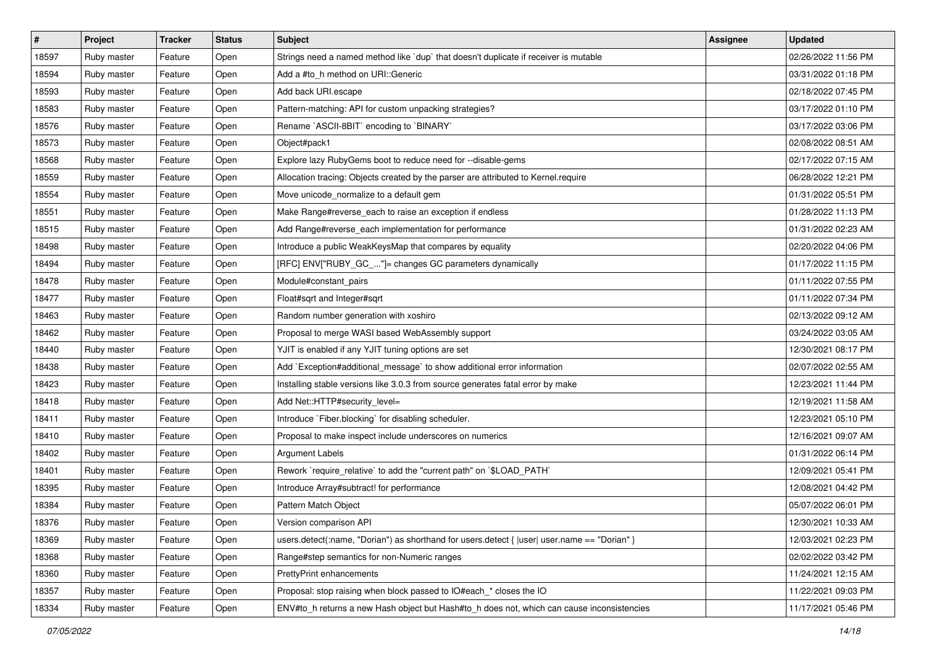| $\vert$ # | Project     | <b>Tracker</b> | <b>Status</b> | Subject                                                                                        | <b>Assignee</b> | <b>Updated</b>      |
|-----------|-------------|----------------|---------------|------------------------------------------------------------------------------------------------|-----------------|---------------------|
| 18597     | Ruby master | Feature        | Open          | Strings need a named method like `dup` that doesn't duplicate if receiver is mutable           |                 | 02/26/2022 11:56 PM |
| 18594     | Ruby master | Feature        | Open          | Add a #to h method on URI:: Generic                                                            |                 | 03/31/2022 01:18 PM |
| 18593     | Ruby master | Feature        | Open          | Add back URI.escape                                                                            |                 | 02/18/2022 07:45 PM |
| 18583     | Ruby master | Feature        | Open          | Pattern-matching: API for custom unpacking strategies?                                         |                 | 03/17/2022 01:10 PM |
| 18576     | Ruby master | Feature        | Open          | Rename `ASCII-8BIT` encoding to `BINARY`                                                       |                 | 03/17/2022 03:06 PM |
| 18573     | Ruby master | Feature        | Open          | Object#pack1                                                                                   |                 | 02/08/2022 08:51 AM |
| 18568     | Ruby master | Feature        | Open          | Explore lazy RubyGems boot to reduce need for --disable-gems                                   |                 | 02/17/2022 07:15 AM |
| 18559     | Ruby master | Feature        | Open          | Allocation tracing: Objects created by the parser are attributed to Kernel.require             |                 | 06/28/2022 12:21 PM |
| 18554     | Ruby master | Feature        | Open          | Move unicode_normalize to a default gem                                                        |                 | 01/31/2022 05:51 PM |
| 18551     | Ruby master | Feature        | Open          | Make Range#reverse_each to raise an exception if endless                                       |                 | 01/28/2022 11:13 PM |
| 18515     | Ruby master | Feature        | Open          | Add Range#reverse_each implementation for performance                                          |                 | 01/31/2022 02:23 AM |
| 18498     | Ruby master | Feature        | Open          | Introduce a public WeakKeysMap that compares by equality                                       |                 | 02/20/2022 04:06 PM |
| 18494     | Ruby master | Feature        | Open          | [RFC] ENV["RUBY_GC_"]= changes GC parameters dynamically                                       |                 | 01/17/2022 11:15 PM |
| 18478     | Ruby master | Feature        | Open          | Module#constant_pairs                                                                          |                 | 01/11/2022 07:55 PM |
| 18477     | Ruby master | Feature        | Open          | Float#sqrt and Integer#sqrt                                                                    |                 | 01/11/2022 07:34 PM |
| 18463     | Ruby master | Feature        | Open          | Random number generation with xoshiro                                                          |                 | 02/13/2022 09:12 AM |
| 18462     | Ruby master | Feature        | Open          | Proposal to merge WASI based WebAssembly support                                               |                 | 03/24/2022 03:05 AM |
| 18440     | Ruby master | Feature        | Open          | YJIT is enabled if any YJIT tuning options are set                                             |                 | 12/30/2021 08:17 PM |
| 18438     | Ruby master | Feature        | Open          | Add `Exception#additional_message` to show additional error information                        |                 | 02/07/2022 02:55 AM |
| 18423     | Ruby master | Feature        | Open          | Installing stable versions like 3.0.3 from source generates fatal error by make                |                 | 12/23/2021 11:44 PM |
| 18418     | Ruby master | Feature        | Open          | Add Net::HTTP#security_level=                                                                  |                 | 12/19/2021 11:58 AM |
| 18411     | Ruby master | Feature        | Open          | Introduce `Fiber.blocking` for disabling scheduler.                                            |                 | 12/23/2021 05:10 PM |
| 18410     | Ruby master | Feature        | Open          | Proposal to make inspect include underscores on numerics                                       |                 | 12/16/2021 09:07 AM |
| 18402     | Ruby master | Feature        | Open          | <b>Argument Labels</b>                                                                         |                 | 01/31/2022 06:14 PM |
| 18401     | Ruby master | Feature        | Open          | Rework `require_relative` to add the "current path" on `\$LOAD_PATH`                           |                 | 12/09/2021 05:41 PM |
| 18395     | Ruby master | Feature        | Open          | Introduce Array#subtract! for performance                                                      |                 | 12/08/2021 04:42 PM |
| 18384     | Ruby master | Feature        | Open          | Pattern Match Object                                                                           |                 | 05/07/2022 06:01 PM |
| 18376     | Ruby master | Feature        | Open          | Version comparison API                                                                         |                 | 12/30/2021 10:33 AM |
| 18369     | Ruby master | Feature        | Open          | users.detect(:name, "Dorian") as shorthand for users.detect { $ user $ user.name == "Dorian" } |                 | 12/03/2021 02:23 PM |
| 18368     | Ruby master | Feature        | Open          | Range#step semantics for non-Numeric ranges                                                    |                 | 02/02/2022 03:42 PM |
| 18360     | Ruby master | Feature        | Open          | PrettyPrint enhancements                                                                       |                 | 11/24/2021 12:15 AM |
| 18357     | Ruby master | Feature        | Open          | Proposal: stop raising when block passed to IO#each_* closes the IO                            |                 | 11/22/2021 09:03 PM |
| 18334     | Ruby master | Feature        | Open          | ENV#to_h returns a new Hash object but Hash#to_h does not, which can cause inconsistencies     |                 | 11/17/2021 05:46 PM |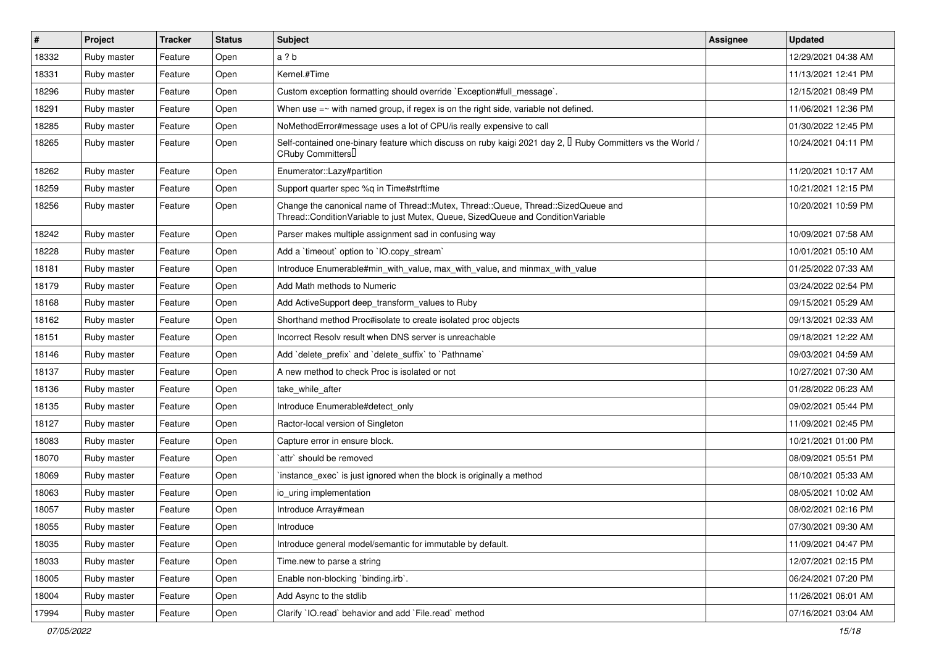| $\vert$ # | Project     | <b>Tracker</b> | <b>Status</b> | <b>Subject</b>                                                                                                                                                        | <b>Assignee</b> | <b>Updated</b>      |
|-----------|-------------|----------------|---------------|-----------------------------------------------------------------------------------------------------------------------------------------------------------------------|-----------------|---------------------|
| 18332     | Ruby master | Feature        | Open          | a ? b                                                                                                                                                                 |                 | 12/29/2021 04:38 AM |
| 18331     | Ruby master | Feature        | Open          | Kernel.#Time                                                                                                                                                          |                 | 11/13/2021 12:41 PM |
| 18296     | Ruby master | Feature        | Open          | Custom exception formatting should override `Exception#full_message`.                                                                                                 |                 | 12/15/2021 08:49 PM |
| 18291     | Ruby master | Feature        | Open          | When use $=\sim$ with named group, if regex is on the right side, variable not defined.                                                                               |                 | 11/06/2021 12:36 PM |
| 18285     | Ruby master | Feature        | Open          | NoMethodError#message uses a lot of CPU/is really expensive to call                                                                                                   |                 | 01/30/2022 12:45 PM |
| 18265     | Ruby master | Feature        | Open          | Self-contained one-binary feature which discuss on ruby kaigi 2021 day 2, $\Box$ Ruby Committers vs the World /<br>CRuby Committers <sup>[]</sup>                     |                 | 10/24/2021 04:11 PM |
| 18262     | Ruby master | Feature        | Open          | Enumerator::Lazy#partition                                                                                                                                            |                 | 11/20/2021 10:17 AM |
| 18259     | Ruby master | Feature        | Open          | Support quarter spec %q in Time#strftime                                                                                                                              |                 | 10/21/2021 12:15 PM |
| 18256     | Ruby master | Feature        | Open          | Change the canonical name of Thread::Mutex, Thread::Queue, Thread::SizedQueue and<br>Thread::ConditionVariable to just Mutex, Queue, SizedQueue and ConditionVariable |                 | 10/20/2021 10:59 PM |
| 18242     | Ruby master | Feature        | Open          | Parser makes multiple assignment sad in confusing way                                                                                                                 |                 | 10/09/2021 07:58 AM |
| 18228     | Ruby master | Feature        | Open          | Add a 'timeout' option to 'IO.copy_stream'                                                                                                                            |                 | 10/01/2021 05:10 AM |
| 18181     | Ruby master | Feature        | Open          | Introduce Enumerable#min_with_value, max_with_value, and minmax_with_value                                                                                            |                 | 01/25/2022 07:33 AM |
| 18179     | Ruby master | Feature        | Open          | Add Math methods to Numeric                                                                                                                                           |                 | 03/24/2022 02:54 PM |
| 18168     | Ruby master | Feature        | Open          | Add ActiveSupport deep_transform_values to Ruby                                                                                                                       |                 | 09/15/2021 05:29 AM |
| 18162     | Ruby master | Feature        | Open          | Shorthand method Proc#isolate to create isolated proc objects                                                                                                         |                 | 09/13/2021 02:33 AM |
| 18151     | Ruby master | Feature        | Open          | Incorrect Resolv result when DNS server is unreachable                                                                                                                |                 | 09/18/2021 12:22 AM |
| 18146     | Ruby master | Feature        | Open          | Add 'delete_prefix' and 'delete_suffix' to 'Pathname'                                                                                                                 |                 | 09/03/2021 04:59 AM |
| 18137     | Ruby master | Feature        | Open          | A new method to check Proc is isolated or not                                                                                                                         |                 | 10/27/2021 07:30 AM |
| 18136     | Ruby master | Feature        | Open          | take_while_after                                                                                                                                                      |                 | 01/28/2022 06:23 AM |
| 18135     | Ruby master | Feature        | Open          | Introduce Enumerable#detect_only                                                                                                                                      |                 | 09/02/2021 05:44 PM |
| 18127     | Ruby master | Feature        | Open          | Ractor-local version of Singleton                                                                                                                                     |                 | 11/09/2021 02:45 PM |
| 18083     | Ruby master | Feature        | Open          | Capture error in ensure block.                                                                                                                                        |                 | 10/21/2021 01:00 PM |
| 18070     | Ruby master | Feature        | Open          | `attr` should be removed                                                                                                                                              |                 | 08/09/2021 05:51 PM |
| 18069     | Ruby master | Feature        | Open          | `instance_exec` is just ignored when the block is originally a method                                                                                                 |                 | 08/10/2021 05:33 AM |
| 18063     | Ruby master | Feature        | Open          | io uring implementation                                                                                                                                               |                 | 08/05/2021 10:02 AM |
| 18057     | Ruby master | Feature        | Open          | Introduce Array#mean                                                                                                                                                  |                 | 08/02/2021 02:16 PM |
| 18055     | Ruby master | Feature        | Open          | Introduce                                                                                                                                                             |                 | 07/30/2021 09:30 AM |
| 18035     | Ruby master | Feature        | Open          | Introduce general model/semantic for immutable by default.                                                                                                            |                 | 11/09/2021 04:47 PM |
| 18033     | Ruby master | Feature        | Open          | Time.new to parse a string                                                                                                                                            |                 | 12/07/2021 02:15 PM |
| 18005     | Ruby master | Feature        | Open          | Enable non-blocking 'binding.irb'.                                                                                                                                    |                 | 06/24/2021 07:20 PM |
| 18004     | Ruby master | Feature        | Open          | Add Async to the stdlib                                                                                                                                               |                 | 11/26/2021 06:01 AM |
| 17994     | Ruby master | Feature        | Open          | Clarify 'IO.read' behavior and add 'File.read' method                                                                                                                 |                 | 07/16/2021 03:04 AM |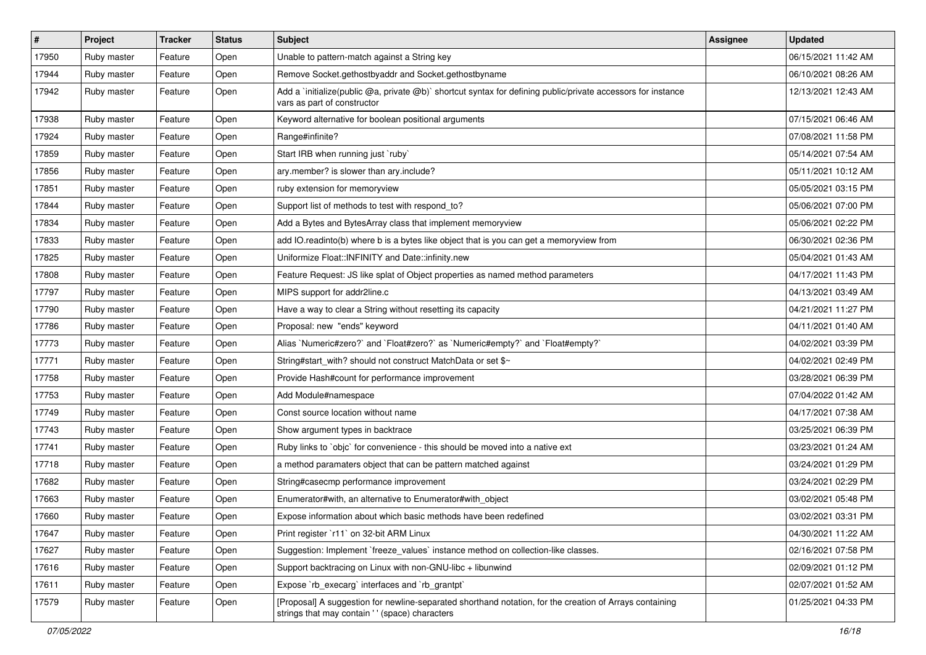| $\sharp$ | Project     | <b>Tracker</b> | <b>Status</b> | Subject                                                                                                                                                    | <b>Assignee</b> | <b>Updated</b>      |
|----------|-------------|----------------|---------------|------------------------------------------------------------------------------------------------------------------------------------------------------------|-----------------|---------------------|
| 17950    | Ruby master | Feature        | Open          | Unable to pattern-match against a String key                                                                                                               |                 | 06/15/2021 11:42 AM |
| 17944    | Ruby master | Feature        | Open          | Remove Socket.gethostbyaddr and Socket.gethostbyname                                                                                                       |                 | 06/10/2021 08:26 AM |
| 17942    | Ruby master | Feature        | Open          | Add a `initialize(public @a, private @b)` shortcut syntax for defining public/private accessors for instance<br>vars as part of constructor                |                 | 12/13/2021 12:43 AM |
| 17938    | Ruby master | Feature        | Open          | Keyword alternative for boolean positional arguments                                                                                                       |                 | 07/15/2021 06:46 AM |
| 17924    | Ruby master | Feature        | Open          | Range#infinite?                                                                                                                                            |                 | 07/08/2021 11:58 PM |
| 17859    | Ruby master | Feature        | Open          | Start IRB when running just `ruby`                                                                                                                         |                 | 05/14/2021 07:54 AM |
| 17856    | Ruby master | Feature        | Open          | ary.member? is slower than ary.include?                                                                                                                    |                 | 05/11/2021 10:12 AM |
| 17851    | Ruby master | Feature        | Open          | ruby extension for memoryview                                                                                                                              |                 | 05/05/2021 03:15 PM |
| 17844    | Ruby master | Feature        | Open          | Support list of methods to test with respond_to?                                                                                                           |                 | 05/06/2021 07:00 PM |
| 17834    | Ruby master | Feature        | Open          | Add a Bytes and BytesArray class that implement memoryview                                                                                                 |                 | 05/06/2021 02:22 PM |
| 17833    | Ruby master | Feature        | Open          | add IO.readinto(b) where b is a bytes like object that is you can get a memoryview from                                                                    |                 | 06/30/2021 02:36 PM |
| 17825    | Ruby master | Feature        | Open          | Uniformize Float::INFINITY and Date::infinity.new                                                                                                          |                 | 05/04/2021 01:43 AM |
| 17808    | Ruby master | Feature        | Open          | Feature Request: JS like splat of Object properties as named method parameters                                                                             |                 | 04/17/2021 11:43 PM |
| 17797    | Ruby master | Feature        | Open          | MIPS support for addr2line.c                                                                                                                               |                 | 04/13/2021 03:49 AM |
| 17790    | Ruby master | Feature        | Open          | Have a way to clear a String without resetting its capacity                                                                                                |                 | 04/21/2021 11:27 PM |
| 17786    | Ruby master | Feature        | Open          | Proposal: new "ends" keyword                                                                                                                               |                 | 04/11/2021 01:40 AM |
| 17773    | Ruby master | Feature        | Open          | Alias `Numeric#zero?` and `Float#zero?` as `Numeric#empty?` and `Float#empty?`                                                                             |                 | 04/02/2021 03:39 PM |
| 17771    | Ruby master | Feature        | Open          | String#start with? should not construct MatchData or set \$~                                                                                               |                 | 04/02/2021 02:49 PM |
| 17758    | Ruby master | Feature        | Open          | Provide Hash#count for performance improvement                                                                                                             |                 | 03/28/2021 06:39 PM |
| 17753    | Ruby master | Feature        | Open          | Add Module#namespace                                                                                                                                       |                 | 07/04/2022 01:42 AM |
| 17749    | Ruby master | Feature        | Open          | Const source location without name                                                                                                                         |                 | 04/17/2021 07:38 AM |
| 17743    | Ruby master | Feature        | Open          | Show argument types in backtrace                                                                                                                           |                 | 03/25/2021 06:39 PM |
| 17741    | Ruby master | Feature        | Open          | Ruby links to `objc` for convenience - this should be moved into a native ext                                                                              |                 | 03/23/2021 01:24 AM |
| 17718    | Ruby master | Feature        | Open          | a method paramaters object that can be pattern matched against                                                                                             |                 | 03/24/2021 01:29 PM |
| 17682    | Ruby master | Feature        | Open          | String#casecmp performance improvement                                                                                                                     |                 | 03/24/2021 02:29 PM |
| 17663    | Ruby master | Feature        | Open          | Enumerator#with, an alternative to Enumerator#with_object                                                                                                  |                 | 03/02/2021 05:48 PM |
| 17660    | Ruby master | Feature        | Open          | Expose information about which basic methods have been redefined                                                                                           |                 | 03/02/2021 03:31 PM |
| 17647    | Ruby master | Feature        | Open          | Print register `r11` on 32-bit ARM Linux                                                                                                                   |                 | 04/30/2021 11:22 AM |
| 17627    | Ruby master | Feature        | Open          | Suggestion: Implement `freeze_values` instance method on collection-like classes.                                                                          |                 | 02/16/2021 07:58 PM |
| 17616    | Ruby master | Feature        | Open          | Support backtracing on Linux with non-GNU-libc + libunwind                                                                                                 |                 | 02/09/2021 01:12 PM |
| 17611    | Ruby master | Feature        | Open          | Expose `rb execarg` interfaces and `rb grantpt`                                                                                                            |                 | 02/07/2021 01:52 AM |
| 17579    | Ruby master | Feature        | Open          | [Proposal] A suggestion for newline-separated shorthand notation, for the creation of Arrays containing<br>strings that may contain ' ' (space) characters |                 | 01/25/2021 04:33 PM |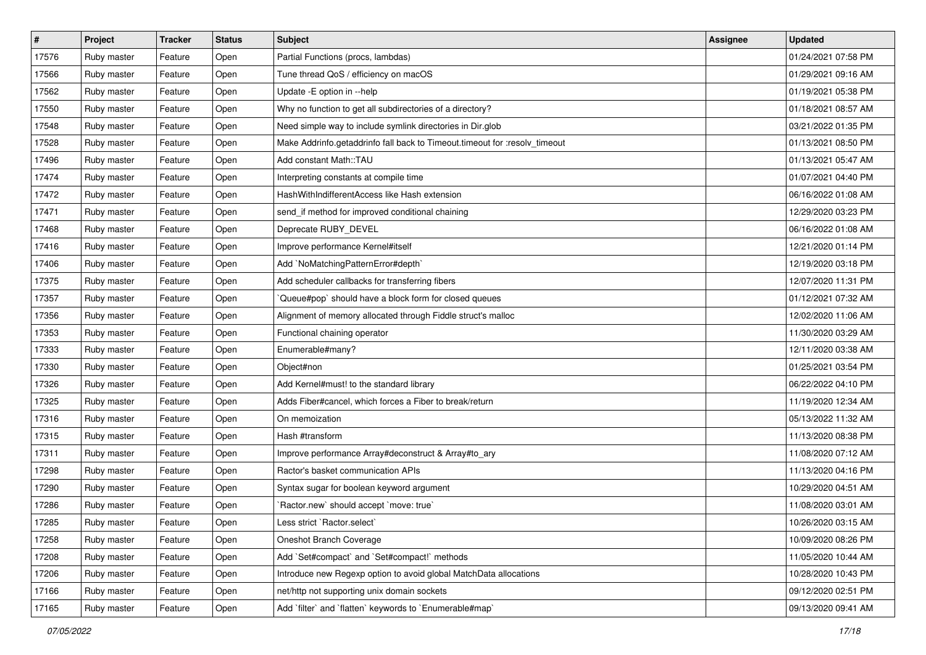| $\vert$ # | Project     | <b>Tracker</b> | <b>Status</b> | Subject                                                                    | <b>Assignee</b> | <b>Updated</b>      |
|-----------|-------------|----------------|---------------|----------------------------------------------------------------------------|-----------------|---------------------|
| 17576     | Ruby master | Feature        | Open          | Partial Functions (procs, lambdas)                                         |                 | 01/24/2021 07:58 PM |
| 17566     | Ruby master | Feature        | Open          | Tune thread QoS / efficiency on macOS                                      |                 | 01/29/2021 09:16 AM |
| 17562     | Ruby master | Feature        | Open          | Update -E option in --help                                                 |                 | 01/19/2021 05:38 PM |
| 17550     | Ruby master | Feature        | Open          | Why no function to get all subdirectories of a directory?                  |                 | 01/18/2021 08:57 AM |
| 17548     | Ruby master | Feature        | Open          | Need simple way to include symlink directories in Dir.glob                 |                 | 03/21/2022 01:35 PM |
| 17528     | Ruby master | Feature        | Open          | Make Addrinfo.getaddrinfo fall back to Timeout.timeout for :resolv_timeout |                 | 01/13/2021 08:50 PM |
| 17496     | Ruby master | Feature        | Open          | Add constant Math::TAU                                                     |                 | 01/13/2021 05:47 AM |
| 17474     | Ruby master | Feature        | Open          | Interpreting constants at compile time                                     |                 | 01/07/2021 04:40 PM |
| 17472     | Ruby master | Feature        | Open          | HashWithIndifferentAccess like Hash extension                              |                 | 06/16/2022 01:08 AM |
| 17471     | Ruby master | Feature        | Open          | send_if method for improved conditional chaining                           |                 | 12/29/2020 03:23 PM |
| 17468     | Ruby master | Feature        | Open          | Deprecate RUBY DEVEL                                                       |                 | 06/16/2022 01:08 AM |
| 17416     | Ruby master | Feature        | Open          | Improve performance Kernel#itself                                          |                 | 12/21/2020 01:14 PM |
| 17406     | Ruby master | Feature        | Open          | Add `NoMatchingPatternError#depth`                                         |                 | 12/19/2020 03:18 PM |
| 17375     | Ruby master | Feature        | Open          | Add scheduler callbacks for transferring fibers                            |                 | 12/07/2020 11:31 PM |
| 17357     | Ruby master | Feature        | Open          | Queue#pop` should have a block form for closed queues                      |                 | 01/12/2021 07:32 AM |
| 17356     | Ruby master | Feature        | Open          | Alignment of memory allocated through Fiddle struct's malloc               |                 | 12/02/2020 11:06 AM |
| 17353     | Ruby master | Feature        | Open          | Functional chaining operator                                               |                 | 11/30/2020 03:29 AM |
| 17333     | Ruby master | Feature        | Open          | Enumerable#many?                                                           |                 | 12/11/2020 03:38 AM |
| 17330     | Ruby master | Feature        | Open          | Object#non                                                                 |                 | 01/25/2021 03:54 PM |
| 17326     | Ruby master | Feature        | Open          | Add Kernel#must! to the standard library                                   |                 | 06/22/2022 04:10 PM |
| 17325     | Ruby master | Feature        | Open          | Adds Fiber#cancel, which forces a Fiber to break/return                    |                 | 11/19/2020 12:34 AM |
| 17316     | Ruby master | Feature        | Open          | On memoization                                                             |                 | 05/13/2022 11:32 AM |
| 17315     | Ruby master | Feature        | Open          | Hash #transform                                                            |                 | 11/13/2020 08:38 PM |
| 17311     | Ruby master | Feature        | Open          | Improve performance Array#deconstruct & Array#to_ary                       |                 | 11/08/2020 07:12 AM |
| 17298     | Ruby master | Feature        | Open          | Ractor's basket communication APIs                                         |                 | 11/13/2020 04:16 PM |
| 17290     | Ruby master | Feature        | Open          | Syntax sugar for boolean keyword argument                                  |                 | 10/29/2020 04:51 AM |
| 17286     | Ruby master | Feature        | Open          | Ractor.new' should accept 'move: true'                                     |                 | 11/08/2020 03:01 AM |
| 17285     | Ruby master | Feature        | Open          | Less strict `Ractor.select`                                                |                 | 10/26/2020 03:15 AM |
| 17258     | Ruby master | Feature        | Open          | Oneshot Branch Coverage                                                    |                 | 10/09/2020 08:26 PM |
| 17208     | Ruby master | Feature        | Open          | Add `Set#compact` and `Set#compact!` methods                               |                 | 11/05/2020 10:44 AM |
| 17206     | Ruby master | Feature        | Open          | Introduce new Regexp option to avoid global MatchData allocations          |                 | 10/28/2020 10:43 PM |
| 17166     | Ruby master | Feature        | Open          | net/http not supporting unix domain sockets                                |                 | 09/12/2020 02:51 PM |
| 17165     | Ruby master | Feature        | Open          | Add `filter` and `flatten` keywords to `Enumerable#map`                    |                 | 09/13/2020 09:41 AM |